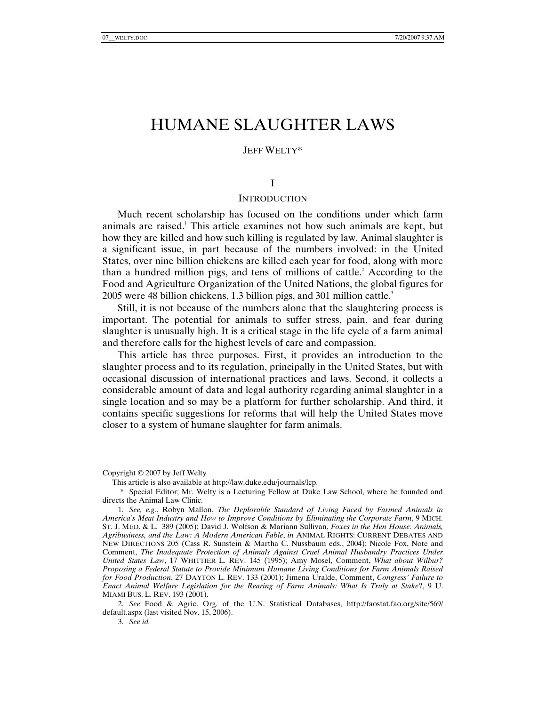# HUMANE SLAUGHTER LAWS

#### JEFF WELTY\*

#### I

### **INTRODUCTION**

Much recent scholarship has focused on the conditions under which farm animals are raised.<sup>1</sup> This article examines not how such animals are kept, but how they are killed and how such killing is regulated by law. Animal slaughter is a significant issue, in part because of the numbers involved: in the United States, over nine billion chickens are killed each year for food, along with more than a hundred million pigs, and tens of millions of cattle.<sup>2</sup> According to the Food and Agriculture Organization of the United Nations, the global figures for 2005 were 48 billion chickens, 1.3 billion pigs, and 301 million cattle.<sup>3</sup>

Still, it is not because of the numbers alone that the slaughtering process is important. The potential for animals to suffer stress, pain, and fear during slaughter is unusually high. It is a critical stage in the life cycle of a farm animal and therefore calls for the highest levels of care and compassion.

This article has three purposes. First, it provides an introduction to the slaughter process and to its regulation, principally in the United States, but with occasional discussion of international practices and laws. Second, it collects a considerable amount of data and legal authority regarding animal slaughter in a single location and so may be a platform for further scholarship. And third, it contains specific suggestions for reforms that will help the United States move closer to a system of humane slaughter for farm animals.

Copyright © 2007 by Jeff Welty

This article is also available at http://law.duke.edu/journals/lcp.

 <sup>\*</sup> Special Editor; Mr. Welty is a Lecturing Fellow at Duke Law School, where he founded and directs the Animal Law Clinic.

<sup>1</sup>*. See, e.g.*, Robyn Mallon, *The Deplorable Standard of Living Faced by Farmed Animals in America's Meat Industry and How to Improve Conditions by Eliminating the Corporate Farm*, 9 MICH. ST. J. MED. & L. 389 (2005); David J. Wolfson & Mariann Sullivan, *Foxes in the Hen House: Animals, Agribusiness, and the Law: A Modern American Fable*, *in* ANIMAL RIGHTS: CURRENT DEBATES AND NEW DIRECTIONS 205 (Cass R. Sunstein & Martha C. Nussbaum eds., 2004); Nicole Fox, Note and Comment, *The Inadequate Protection of Animals Against Cruel Animal Husbandry Practices Under United States Law*, 17 WHITTIER L. REV. 145 (1995); Amy Mosel, Comment, *What about Wilbur? Proposing a Federal Statute to Provide Minimum Humane Living Conditions for Farm Animals Raised for Food Production*, 27 DAYTON L. REV. 133 (2001); Jimena Uralde, Comment, *Congress' Failure to Enact Animal Welfare Legislation for the Rearing of Farm Animals: What Is Truly at Stake*?, 9 U. MIAMI BUS. L. REV. 193 (2001).

<sup>2</sup>*. See* Food & Agric. Org. of the U.N. Statistical Databases, http://faostat.fao.org/site/569/ default.aspx (last visited Nov. 15, 2006).

<sup>3</sup>*. See id.*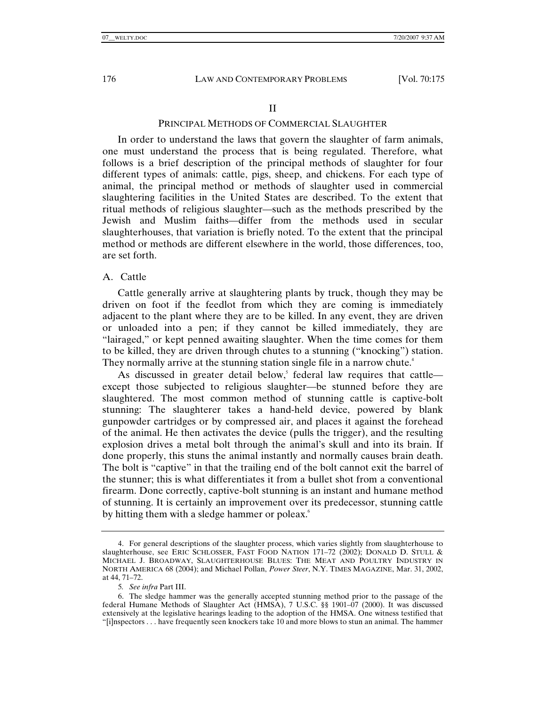#### II

# PRINCIPAL METHODS OF COMMERCIAL SLAUGHTER

In order to understand the laws that govern the slaughter of farm animals, one must understand the process that is being regulated. Therefore, what follows is a brief description of the principal methods of slaughter for four different types of animals: cattle, pigs, sheep, and chickens. For each type of animal, the principal method or methods of slaughter used in commercial slaughtering facilities in the United States are described. To the extent that ritual methods of religious slaughter—such as the methods prescribed by the Jewish and Muslim faiths—differ from the methods used in secular slaughterhouses, that variation is briefly noted. To the extent that the principal method or methods are different elsewhere in the world, those differences, too, are set forth.

# A. Cattle

Cattle generally arrive at slaughtering plants by truck, though they may be driven on foot if the feedlot from which they are coming is immediately adjacent to the plant where they are to be killed. In any event, they are driven or unloaded into a pen; if they cannot be killed immediately, they are "lairaged," or kept penned awaiting slaughter. When the time comes for them to be killed, they are driven through chutes to a stunning ("knocking") station. They normally arrive at the stunning station single file in a narrow chute.<sup>4</sup>

As discussed in greater detail below,<sup>5</sup> federal law requires that cattle except those subjected to religious slaughter—be stunned before they are slaughtered. The most common method of stunning cattle is captive-bolt stunning: The slaughterer takes a hand-held device, powered by blank gunpowder cartridges or by compressed air, and places it against the forehead of the animal. He then activates the device (pulls the trigger), and the resulting explosion drives a metal bolt through the animal's skull and into its brain. If done properly, this stuns the animal instantly and normally causes brain death. The bolt is "captive" in that the trailing end of the bolt cannot exit the barrel of the stunner; this is what differentiates it from a bullet shot from a conventional firearm. Done correctly, captive-bolt stunning is an instant and humane method of stunning. It is certainly an improvement over its predecessor, stunning cattle by hitting them with a sledge hammer or poleax.<sup>6</sup>

 <sup>4.</sup> For general descriptions of the slaughter process, which varies slightly from slaughterhouse to slaughterhouse, see ERIC SCHLOSSER, FAST FOOD NATION 171–72 (2002); DONALD D. STULL & MICHAEL J. BROADWAY, SLAUGHTERHOUSE BLUES: THE MEAT AND POULTRY INDUSTRY IN NORTH AMERICA 68 (2004); and Michael Pollan, *Power Steer*, N.Y. TIMES MAGAZINE, Mar. 31, 2002, at 44, 71–72.

<sup>5</sup>*. See infra* Part III.

 <sup>6.</sup> The sledge hammer was the generally accepted stunning method prior to the passage of the federal Humane Methods of Slaughter Act (HMSA), 7 U.S.C. §§ 1901–07 (2000). It was discussed extensively at the legislative hearings leading to the adoption of the HMSA. One witness testified that "[i]nspectors . . . have frequently seen knockers take 10 and more blows to stun an animal. The hammer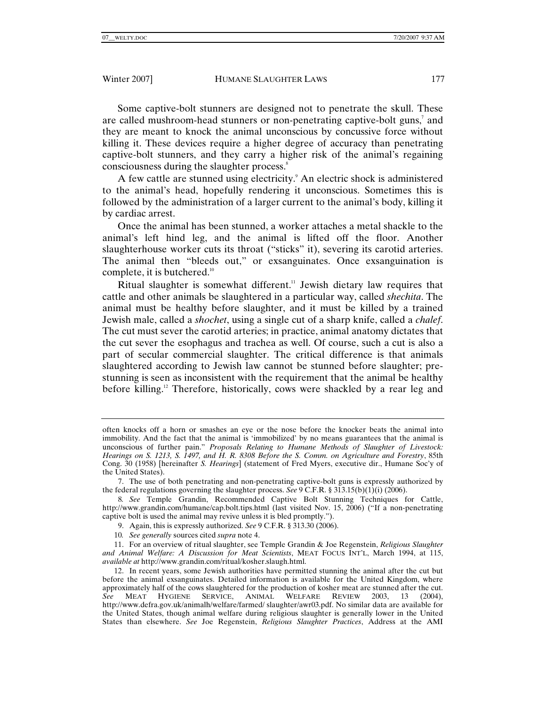Some captive-bolt stunners are designed not to penetrate the skull. These are called mushroom-head stunners or non-penetrating captive-bolt guns,<sup>7</sup> and they are meant to knock the animal unconscious by concussive force without killing it. These devices require a higher degree of accuracy than penetrating captive-bolt stunners, and they carry a higher risk of the animal's regaining consciousness during the slaughter process.<sup>8</sup>

A few cattle are stunned using electricity.<sup>9</sup> An electric shock is administered to the animal's head, hopefully rendering it unconscious. Sometimes this is followed by the administration of a larger current to the animal's body, killing it by cardiac arrest.

Once the animal has been stunned, a worker attaches a metal shackle to the animal's left hind leg, and the animal is lifted off the floor. Another slaughterhouse worker cuts its throat ("sticks" it), severing its carotid arteries. The animal then "bleeds out," or exsanguinates. Once exsanguination is complete, it is butchered.<sup>10</sup>

Ritual slaughter is somewhat different.<sup>11</sup> Jewish dietary law requires that cattle and other animals be slaughtered in a particular way, called *shechita*. The animal must be healthy before slaughter, and it must be killed by a trained Jewish male, called a *shochet*, using a single cut of a sharp knife, called a *chalef*. The cut must sever the carotid arteries; in practice, animal anatomy dictates that the cut sever the esophagus and trachea as well. Of course, such a cut is also a part of secular commercial slaughter. The critical difference is that animals slaughtered according to Jewish law cannot be stunned before slaughter; prestunning is seen as inconsistent with the requirement that the animal be healthy before killing.<sup>12</sup> Therefore, historically, cows were shackled by a rear leg and

often knocks off a horn or smashes an eye or the nose before the knocker beats the animal into immobility. And the fact that the animal is 'immobilized' by no means guarantees that the animal is unconscious of further pain." *Proposals Relating to Humane Methods of Slaughter of Livestock: Hearings on S. 1213, S. 1497, and H. R. 8308 Before the S. Comm. on Agriculture and Forestry*, 85th Cong. 30 (1958) [hereinafter *S. Hearings*] (statement of Fred Myers, executive dir., Humane Soc'y of the United States).

 <sup>7.</sup> The use of both penetrating and non-penetrating captive-bolt guns is expressly authorized by the federal regulations governing the slaughter process. *See* 9 C.F.R. § 313.15(b)(1)(i) (2006).

<sup>8</sup>*. See* Temple Grandin, Recommended Captive Bolt Stunning Techniques for Cattle, http://www.grandin.com/humane/cap.bolt.tips.html (last visited Nov. 15, 2006) ("If a non-penetrating captive bolt is used the animal may revive unless it is bled promptly.").

 <sup>9.</sup> Again, this is expressly authorized. *See* 9 C.F.R. § 313.30 (2006).

<sup>10</sup>*. See generally* sources cited *supra* note 4.

 <sup>11.</sup> For an overview of ritual slaughter, see Temple Grandin & Joe Regenstein, *Religious Slaughter and Animal Welfare: A Discussion for Meat Scientists*, MEAT FOCUS INT'L, March 1994, at 115, *available at* http://www.grandin.com/ritual/kosher.slaugh.html.

 <sup>12.</sup> In recent years, some Jewish authorities have permitted stunning the animal after the cut but before the animal exsanguinates. Detailed information is available for the United Kingdom, where approximately half of the cows slaughtered for the production of kosher meat are stunned after the cut. *See* MEAT HYGIENE SERVICE, ANIMAL WELFARE REVIEW 2003, 13 (2004), http://www.defra.gov.uk/animalh/welfare/farmed/ slaughter/awr03.pdf. No similar data are available for the United States, though animal welfare during religious slaughter is generally lower in the United States than elsewhere. *See* Joe Regenstein, *Religious Slaughter Practices*, Address at the AMI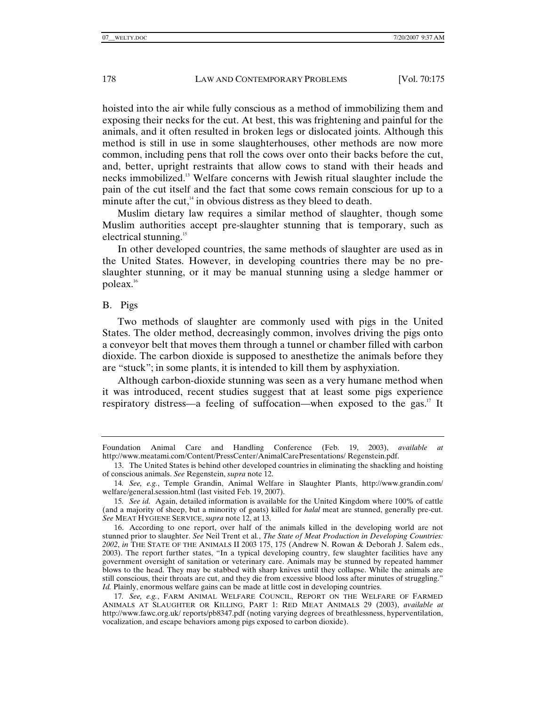hoisted into the air while fully conscious as a method of immobilizing them and exposing their necks for the cut. At best, this was frightening and painful for the animals, and it often resulted in broken legs or dislocated joints. Although this method is still in use in some slaughterhouses, other methods are now more common, including pens that roll the cows over onto their backs before the cut, and, better, upright restraints that allow cows to stand with their heads and necks immobilized.13 Welfare concerns with Jewish ritual slaughter include the pain of the cut itself and the fact that some cows remain conscious for up to a minute after the cut, $4\text{ in}$  obvious distress as they bleed to death.

Muslim dietary law requires a similar method of slaughter, though some Muslim authorities accept pre-slaughter stunning that is temporary, such as electrical stunning.15

In other developed countries, the same methods of slaughter are used as in the United States. However, in developing countries there may be no preslaughter stunning, or it may be manual stunning using a sledge hammer or poleax.16

#### B. Pigs

Two methods of slaughter are commonly used with pigs in the United States. The older method, decreasingly common, involves driving the pigs onto a conveyor belt that moves them through a tunnel or chamber filled with carbon dioxide. The carbon dioxide is supposed to anesthetize the animals before they are "stuck"; in some plants, it is intended to kill them by asphyxiation.

Although carbon-dioxide stunning was seen as a very humane method when it was introduced, recent studies suggest that at least some pigs experience respiratory distress—a feeling of suffocation—when exposed to the gas.<sup>17</sup> It

Foundation Animal Care and Handling Conference (Feb. 19, 2003), *available at*  http://www.meatami.com/Content/PressCenter/AnimalCarePresentations/ Regenstein.pdf.

 <sup>13.</sup> The United States is behind other developed countries in eliminating the shackling and hoisting of conscious animals. *See* Regenstein, *supra* note 12.

<sup>14</sup>*. See, e.g.*, Temple Grandin, Animal Welfare in Slaughter Plants, http://www.grandin.com/ welfare/general.session.html (last visited Feb. 19, 2007).

<sup>15</sup>*. See id.* Again, detailed information is available for the United Kingdom where 100% of cattle (and a majority of sheep, but a minority of goats) killed for *halal* meat are stunned, generally pre-cut. *See* MEAT HYGIENE SERVICE, *supra* note 12, at 13.

 <sup>16.</sup> According to one report, over half of the animals killed in the developing world are not stunned prior to slaughter. *See* Neil Trent et al*.*, *The State of Meat Production in Developing Countries: 2002*, *in* THE STATE OF THE ANIMALS II 2003 175, 175 (Andrew N. Rowan & Deborah J. Salem eds., 2003). The report further states, "In a typical developing country, few slaughter facilities have any government oversight of sanitation or veterinary care. Animals may be stunned by repeated hammer blows to the head. They may be stabbed with sharp knives until they collapse. While the animals are still conscious, their throats are cut, and they die from excessive blood loss after minutes of struggling." *Id.* Plainly, enormous welfare gains can be made at little cost in developing countries.

<sup>17</sup>*. See, e.g.*, FARM ANIMAL WELFARE COUNCIL, REPORT ON THE WELFARE OF FARMED ANIMALS AT SLAUGHTER OR KILLING, PART 1: RED MEAT ANIMALS 29 (2003), *available at*  http://www.fawc.org.uk/ reports/pb8347.pdf (noting varying degrees of breathlessness, hyperventilation, vocalization, and escape behaviors among pigs exposed to carbon dioxide).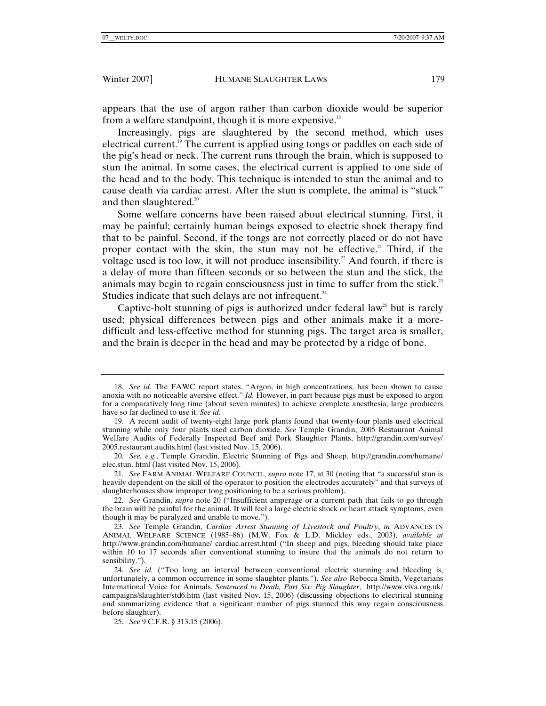appears that the use of argon rather than carbon dioxide would be superior from a welfare standpoint, though it is more expensive.<sup>18</sup>

Increasingly, pigs are slaughtered by the second method, which uses electrical current.19 The current is applied using tongs or paddles on each side of the pig's head or neck. The current runs through the brain, which is supposed to stun the animal. In some cases, the electrical current is applied to one side of the head and to the body. This technique is intended to stun the animal and to cause death via cardiac arrest. After the stun is complete, the animal is "stuck" and then slaughtered.<sup>20</sup>

Some welfare concerns have been raised about electrical stunning. First, it may be painful; certainly human beings exposed to electric shock therapy find that to be painful. Second, if the tongs are not correctly placed or do not have proper contact with the skin, the stun may not be effective.<sup>21</sup> Third, if the voltage used is too low, it will not produce insensibility.<sup>22</sup> And fourth, if there is a delay of more than fifteen seconds or so between the stun and the stick, the animals may begin to regain consciousness just in time to suffer from the stick.<sup>23</sup> Studies indicate that such delays are not infrequent. $24$ 

Captive-bolt stunning of pigs is authorized under federal law<sup>25</sup> but is rarely used; physical differences between pigs and other animals make it a moredifficult and less-effective method for stunning pigs. The target area is smaller, and the brain is deeper in the head and may be protected by a ridge of bone.

<sup>18</sup>*. See id.* The FAWC report states, "Argon, in high concentrations, has been shown to cause anoxia with no noticeable aversive effect." *Id.* However, in part because pigs must be exposed to argon for a comparatively long time (about seven minutes) to achieve complete anesthesia, large producers have so far declined to use it. *See id.*

 <sup>19.</sup> A recent audit of twenty-eight large pork plants found that twenty-four plants used electrical stunning while only four plants used carbon dioxide. *See* Temple Grandin, 2005 Restaurant Animal Welfare Audits of Federally Inspected Beef and Pork Slaughter Plants, http://grandin.com/survey/ 2005.restaurant.audits.html (last visited Nov. 15, 2006).

<sup>20</sup>*. See, e.g.*, Temple Grandin, Electric Stunning of Pigs and Sheep, http://grandin.com/humane/ elec.stun. html (last visited Nov. 15, 2006).

<sup>21</sup>*. See* FARM ANIMAL WELFARE COUNCIL, *supra* note 17, at 30 (noting that "a successful stun is heavily dependent on the skill of the operator to position the electrodes accurately" and that surveys of slaughterhouses show improper tong positioning to be a serious problem).

<sup>22</sup>*. See* Grandin, *supra* note 20 ("Insufficient amperage or a current path that fails to go through the brain will be painful for the animal. It will feel a large electric shock or heart attack symptoms, even though it may be paralyzed and unable to move.").

<sup>23</sup>*. See* Temple Grandin, *Cardiac Arrest Stunning of Livestock and Poultry*, *in* ADVANCES IN ANIMAL WELFARE SCIENCE (1985–86) (M.W. Fox & L.D. Mickley eds., 2003), *available at*  http://www.grandin.com/humane/ cardiac.arrest.html ("In sheep and pigs, bleeding should take place within 10 to 17 seconds after conventional stunning to insure that the animals do not return to sensibility.").

<sup>24</sup>*. See id.* ("Too long an interval between conventional electric stunning and bleeding is, unfortunately, a common occurrence in some slaughter plants."). *See also* Rebecca Smith, Vegetarians International Voice for Animals, *Sentenced to Death, Part Six: Pig Slaughter*, http://www.viva.org.uk/ campaigns/slaughter/std6.htm (last visited Nov. 15, 2006) (discussing objections to electrical stunning and summarizing evidence that a significant number of pigs stunned this way regain consciousness before slaughter).

<sup>25</sup>*. See* 9 C.F.R. § 313.15 (2006).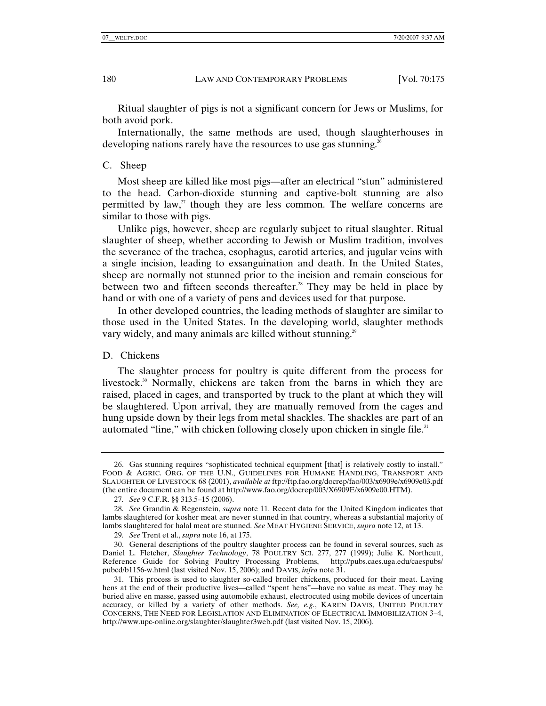Ritual slaughter of pigs is not a significant concern for Jews or Muslims, for both avoid pork.

Internationally, the same methods are used, though slaughterhouses in developing nations rarely have the resources to use gas stunning.<sup>26</sup>

## C. Sheep

Most sheep are killed like most pigs—after an electrical "stun" administered to the head. Carbon-dioxide stunning and captive-bolt stunning are also permitted by law, $\alpha$ <sup>7</sup> though they are less common. The welfare concerns are similar to those with pigs.

Unlike pigs, however, sheep are regularly subject to ritual slaughter. Ritual slaughter of sheep, whether according to Jewish or Muslim tradition, involves the severance of the trachea, esophagus, carotid arteries, and jugular veins with a single incision, leading to exsanguination and death. In the United States, sheep are normally not stunned prior to the incision and remain conscious for between two and fifteen seconds thereafter. $28$  They may be held in place by hand or with one of a variety of pens and devices used for that purpose.

In other developed countries, the leading methods of slaughter are similar to those used in the United States. In the developing world, slaughter methods vary widely, and many animals are killed without stunning.<sup>29</sup>

## D. Chickens

The slaughter process for poultry is quite different from the process for livestock.<sup>30</sup> Normally, chickens are taken from the barns in which they are raised, placed in cages, and transported by truck to the plant at which they will be slaughtered. Upon arrival, they are manually removed from the cages and hung upside down by their legs from metal shackles. The shackles are part of an automated "line," with chicken following closely upon chicken in single file.<sup>31</sup>

 <sup>26.</sup> Gas stunning requires "sophisticated technical equipment [that] is relatively costly to install." FOOD & AGRIC. ORG. OF THE U.N., GUIDELINES FOR HUMANE HANDLING, TRANSPORT AND SLAUGHTER OF LIVESTOCK 68 (2001), *available at* ftp://ftp.fao.org/docrep/fao/003/x6909e/x6909e03.pdf (the entire document can be found at http://www.fao.org/docrep/003/X6909E/x6909e00.HTM).

<sup>27</sup>*. See* 9 C.F.R. §§ 313.5–15 (2006).

<sup>28</sup>*. See* Grandin & Regenstein, *supra* note 11. Recent data for the United Kingdom indicates that lambs slaughtered for kosher meat are never stunned in that country, whereas a substantial majority of lambs slaughtered for halal meat are stunned. *See* MEAT HYGIENE SERVICE, *supra* note 12, at 13.

<sup>29</sup>*. See* Trent et al., *supra* note 16, at 175.

 <sup>30.</sup> General descriptions of the poultry slaughter process can be found in several sources, such as Daniel L. Fletcher, *Slaughter Technology*, 78 POULTRY SCI. 277, 277 (1999); Julie K. Northcutt, Reference Guide for Solving Poultry Processing Problems, http://pubs.caes.uga.edu/caespubs/ pubcd/b1156-w.html (last visited Nov. 15, 2006); and DAVIS, *infra* note 31.

 <sup>31.</sup> This process is used to slaughter so-called broiler chickens, produced for their meat. Laying hens at the end of their productive lives—called "spent hens"—have no value as meat. They may be buried alive en masse, gassed using automobile exhaust, electrocuted using mobile devices of uncertain accuracy, or killed by a variety of other methods. *See, e.g.*, KAREN DAVIS, UNITED POULTRY CONCERNS, THE NEED FOR LEGISLATION AND ELIMINATION OF ELECTRICAL IMMOBILIZATION 3–4, http://www.upc-online.org/slaughter/slaughter3web.pdf (last visited Nov. 15, 2006).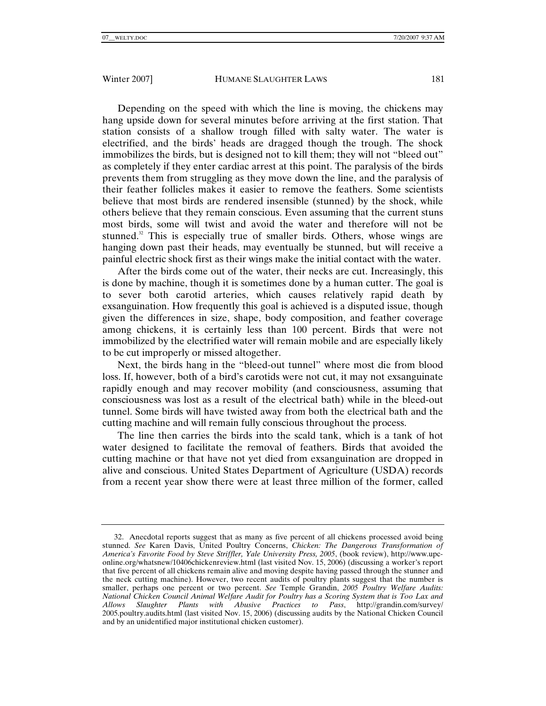Depending on the speed with which the line is moving, the chickens may hang upside down for several minutes before arriving at the first station. That station consists of a shallow trough filled with salty water. The water is electrified, and the birds' heads are dragged though the trough. The shock immobilizes the birds, but is designed not to kill them; they will not "bleed out" as completely if they enter cardiac arrest at this point. The paralysis of the birds prevents them from struggling as they move down the line, and the paralysis of their feather follicles makes it easier to remove the feathers. Some scientists believe that most birds are rendered insensible (stunned) by the shock, while others believe that they remain conscious. Even assuming that the current stuns most birds, some will twist and avoid the water and therefore will not be stunned. $32$  This is especially true of smaller birds. Others, whose wings are hanging down past their heads, may eventually be stunned, but will receive a painful electric shock first as their wings make the initial contact with the water.

After the birds come out of the water, their necks are cut. Increasingly, this is done by machine, though it is sometimes done by a human cutter. The goal is to sever both carotid arteries, which causes relatively rapid death by exsanguination. How frequently this goal is achieved is a disputed issue, though given the differences in size, shape, body composition, and feather coverage among chickens, it is certainly less than 100 percent. Birds that were not immobilized by the electrified water will remain mobile and are especially likely to be cut improperly or missed altogether.

Next, the birds hang in the "bleed-out tunnel" where most die from blood loss. If, however, both of a bird's carotids were not cut, it may not exsanguinate rapidly enough and may recover mobility (and consciousness, assuming that consciousness was lost as a result of the electrical bath) while in the bleed-out tunnel. Some birds will have twisted away from both the electrical bath and the cutting machine and will remain fully conscious throughout the process.

The line then carries the birds into the scald tank, which is a tank of hot water designed to facilitate the removal of feathers. Birds that avoided the cutting machine or that have not yet died from exsanguination are dropped in alive and conscious. United States Department of Agriculture (USDA) records from a recent year show there were at least three million of the former, called

 <sup>32.</sup> Anecdotal reports suggest that as many as five percent of all chickens processed avoid being stunned. *See* Karen Davis, United Poultry Concerns, *Chicken: The Dangerous Transformation of America's Favorite Food by Steve Striffler, Yale University Press, 2005*, (book review), http://www.upconline.org/whatsnew/10406chickenreview.html (last visited Nov. 15, 2006) (discussing a worker's report that five percent of all chickens remain alive and moving despite having passed through the stunner and the neck cutting machine). However, two recent audits of poultry plants suggest that the number is smaller, perhaps one percent or two percent. *See* Temple Grandin, *2005 Poultry Welfare Audits: National Chicken Council Animal Welfare Audit for Poultry has a Scoring System that is Too Lax and Allows Slaughter Plants with Abusive Practices to Pass*, http://grandin.com/survey/ 2005.poultry.audits.html (last visited Nov. 15, 2006) (discussing audits by the National Chicken Council and by an unidentified major institutional chicken customer).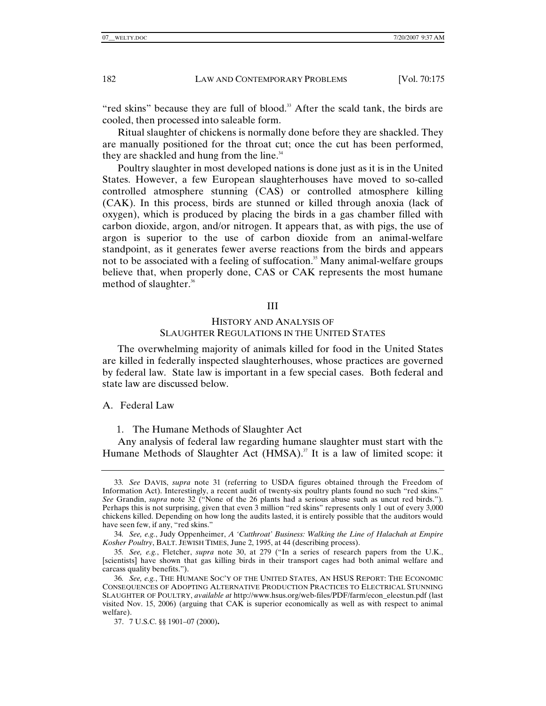"red skins" because they are full of blood.<sup>33</sup> After the scald tank, the birds are cooled, then processed into saleable form.

Ritual slaughter of chickens is normally done before they are shackled. They are manually positioned for the throat cut; once the cut has been performed, they are shackled and hung from the line.<sup>34</sup>

Poultry slaughter in most developed nations is done just as it is in the United States. However, a few European slaughterhouses have moved to so-called controlled atmosphere stunning (CAS) or controlled atmosphere killing (CAK). In this process, birds are stunned or killed through anoxia (lack of oxygen), which is produced by placing the birds in a gas chamber filled with carbon dioxide, argon, and/or nitrogen. It appears that, as with pigs, the use of argon is superior to the use of carbon dioxide from an animal-welfare standpoint, as it generates fewer averse reactions from the birds and appears not to be associated with a feeling of suffocation.<sup>35</sup> Many animal-welfare groups believe that, when properly done, CAS or CAK represents the most humane method of slaughter.<sup>36</sup>

#### III

# HISTORY AND ANALYSIS OF SLAUGHTER REGULATIONS IN THE UNITED STATES

The overwhelming majority of animals killed for food in the United States are killed in federally inspected slaughterhouses, whose practices are governed by federal law. State law is important in a few special cases. Both federal and state law are discussed below.

A. Federal Law

1. The Humane Methods of Slaughter Act

Any analysis of federal law regarding humane slaughter must start with the Humane Methods of Slaughter Act  $(HMSA)$ .<sup>37</sup> It is a law of limited scope: it

<sup>33</sup>*. See* DAVIS, *supra* note 31 (referring to USDA figures obtained through the Freedom of Information Act). Interestingly, a recent audit of twenty-six poultry plants found no such "red skins." *See* Grandin, *supra* note 32 ("None of the 26 plants had a serious abuse such as uncut red birds."). Perhaps this is not surprising, given that even 3 million "red skins" represents only 1 out of every 3,000 chickens killed. Depending on how long the audits lasted, it is entirely possible that the auditors would have seen few, if any, "red skins."

<sup>34</sup>*. See, e.g.*, Judy Oppenheimer, *A 'Cutthroat' Business: Walking the Line of Halachah at Empire Kosher Poultry*, BALT. JEWISH TIMES, June 2, 1995, at 44 (describing process).

<sup>35</sup>*. See, e.g.*, Fletcher, *supra* note 30, at 279 ("In a series of research papers from the U.K., [scientists] have shown that gas killing birds in their transport cages had both animal welfare and carcass quality benefits.").

<sup>36</sup>*. See, e.g.*, THE HUMANE SOC'Y OF THE UNITED STATES, AN HSUS REPORT: THE ECONOMIC CONSEQUENCES OF ADOPTING ALTERNATIVE PRODUCTION PRACTICES TO ELECTRICAL STUNNING SLAUGHTER OF POULTRY, *available at* http://www.hsus.org/web-files/PDF/farm/econ\_elecstun.pdf (last visited Nov. 15, 2006) (arguing that CAK is superior economically as well as with respect to animal welfare).

 <sup>37. 7</sup> U.S.C. §§ 1901–07 (2000)**.**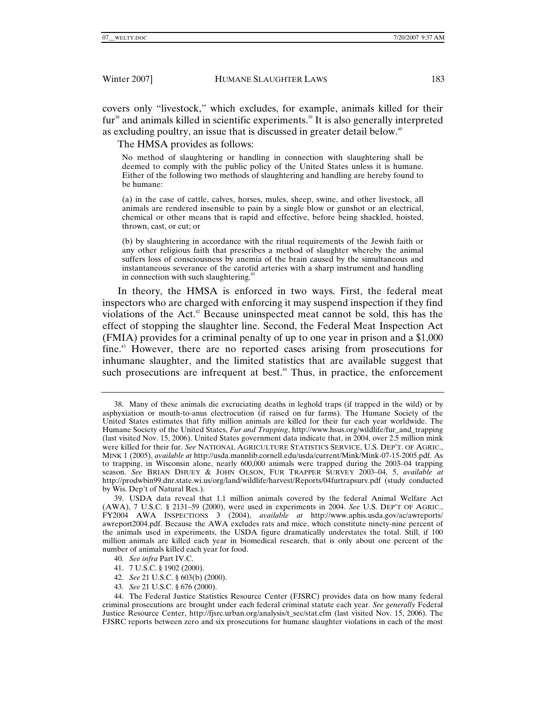covers only "livestock," which excludes, for example, animals killed for their  $fur<sup>38</sup>$  and animals killed in scientific experiments.<sup>39</sup> It is also generally interpreted as excluding poultry, an issue that is discussed in greater detail below.<sup>40</sup>

The HMSA provides as follows:

No method of slaughtering or handling in connection with slaughtering shall be deemed to comply with the public policy of the United States unless it is humane. Either of the following two methods of slaughtering and handling are hereby found to be humane:

(a) in the case of cattle, calves, horses, mules, sheep, swine, and other livestock, all animals are rendered insensible to pain by a single blow or gunshot or an electrical, chemical or other means that is rapid and effective, before being shackled, hoisted, thrown, cast, or cut; or

(b) by slaughtering in accordance with the ritual requirements of the Jewish faith or any other religious faith that prescribes a method of slaughter whereby the animal suffers loss of consciousness by anemia of the brain caused by the simultaneous and instantaneous severance of the carotid arteries with a sharp instrument and handling in connection with such slaughtering. $41$ 

In theory, the HMSA is enforced in two ways. First, the federal meat inspectors who are charged with enforcing it may suspend inspection if they find violations of the Act.42 Because uninspected meat cannot be sold, this has the effect of stopping the slaughter line. Second, the Federal Meat Inspection Act (FMIA) provides for a criminal penalty of up to one year in prison and a \$1,000 fine.<sup>43</sup> However, there are no reported cases arising from prosecutions for inhumane slaughter, and the limited statistics that are available suggest that such prosecutions are infrequent at best.<sup>44</sup> Thus, in practice, the enforcement

- 41. 7 U.S.C. § 1902 (2000).
- 42*. See* 21 U.S.C. § 603(b) (2000).
- 43*. See* 21 U.S.C. § 676 (2000).

 44. The Federal Justice Statistics Resource Center (FJSRC) provides data on how many federal criminal prosecutions are brought under each federal criminal statute each year. *See generally* Federal Justice Resource Center, http://fjsrc.urban.org/analysis/t\_sec/stat.cfm (last visited Nov. 15, 2006). The FJSRC reports between zero and six prosecutions for humane slaughter violations in each of the most

 <sup>38.</sup> Many of these animals die excruciating deaths in leghold traps (if trapped in the wild) or by asphyxiation or mouth-to-anus electrocution (if raised on fur farms). The Humane Society of the United States estimates that fifty million animals are killed for their fur each year worldwide. The Humane Society of the United States, *Fur and Trapping*, http://www.hsus.org/wildlife/fur\_and\_trapping (last visited Nov. 15, 2006). United States government data indicate that, in 2004, over 2.5 million mink were killed for their fur. *See* NATIONAL AGRICULTURE STATISTICS SERVICE, U.S. DEP'T. OF AGRIC., MINK 1 (2005), *available at* http://usda.mannlib.cornell.edu/usda/current/Mink/Mink-07-15-2005.pdf. As to trapping, in Wisconsin alone, nearly 600,000 animals were trapped during the 2003–04 trapping season. *See* BRIAN DHUEY & JOHN OLSON, FUR TRAPPER SURVEY 2003–04, 5, *available at* http://prodwbin99.dnr.state.wi.us/org/land/wildlife/harvest/Reports/04furtrapsurv.pdf (study conducted by Wis. Dep't of Natural Res.).

 <sup>39.</sup> USDA data reveal that 1.1 million animals covered by the federal Animal Welfare Act (AWA), 7 U.S.C. § 2131–59 (2000), were used in experiments in 2004. *See* U.S. DEP'T OF AGRIC., FY2004 AWA INSPECTIONS 3 (2004), *available at* http://www.aphis.usda.gov/ac/awreports/ awreport2004.pdf. Because the AWA excludes rats and mice, which constitute ninety-nine percent of the animals used in experiments, the USDA figure dramatically understates the total. Still, if 100 million animals are killed each year in biomedical research, that is only about one percent of the number of animals killed each year for food.

<sup>40</sup>*. See infra* Part IV.C.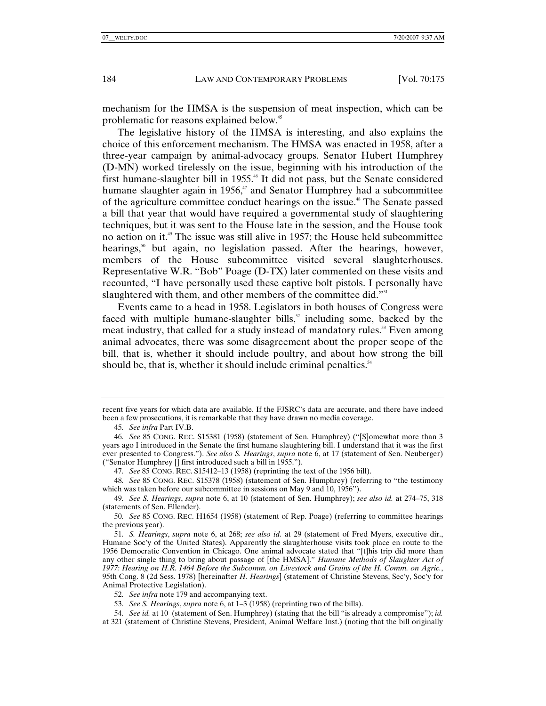mechanism for the HMSA is the suspension of meat inspection, which can be problematic for reasons explained below.45

The legislative history of the HMSA is interesting, and also explains the choice of this enforcement mechanism. The HMSA was enacted in 1958, after a three-year campaign by animal-advocacy groups. Senator Hubert Humphrey (D-MN) worked tirelessly on the issue, beginning with his introduction of the first humane-slaughter bill in 1955.<sup>46</sup> It did not pass, but the Senate considered humane slaughter again in 1956, $47$  and Senator Humphrey had a subcommittee of the agriculture committee conduct hearings on the issue.<sup>48</sup> The Senate passed a bill that year that would have required a governmental study of slaughtering techniques, but it was sent to the House late in the session, and the House took no action on it.<sup>49</sup> The issue was still alive in 1957; the House held subcommittee hearings, $5^{\circ}$  but again, no legislation passed. After the hearings, however, members of the House subcommittee visited several slaughterhouses. Representative W.R. "Bob" Poage (D-TX) later commented on these visits and recounted, "I have personally used these captive bolt pistols. I personally have slaughtered with them, and other members of the committee did."<sup>51</sup>

Events came to a head in 1958. Legislators in both houses of Congress were faced with multiple humane-slaughter bills, $52$  including some, backed by the meat industry, that called for a study instead of mandatory rules.<sup>53</sup> Even among animal advocates, there was some disagreement about the proper scope of the bill, that is, whether it should include poultry, and about how strong the bill should be, that is, whether it should include criminal penalties.<sup>54</sup>

53*. See S. Hearings*, *supra* note 6, at 1–3 (1958) (reprinting two of the bills).

recent five years for which data are available. If the FJSRC's data are accurate, and there have indeed been a few prosecutions, it is remarkable that they have drawn no media coverage.

<sup>45</sup>*. See infra* Part IV.B.

<sup>46</sup>*. See* 85 CONG. REC. S15381 (1958) (statement of Sen. Humphrey) ("[S]omewhat more than 3 years ago I introduced in the Senate the first humane slaughtering bill. I understand that it was the first ever presented to Congress."). *See also S. Hearings*, *supra* note 6, at 17 (statement of Sen. Neuberger) ("Senator Humphrey [] first introduced such a bill in 1955.").

<sup>47</sup>*. See* 85 CONG. REC. S15412–13 (1958) (reprinting the text of the 1956 bill).

<sup>48</sup>*. See* 85 CONG. REC. S15378 (1958) (statement of Sen. Humphrey) (referring to "the testimony which was taken before our subcommittee in sessions on May 9 and 10, 1956").

<sup>49</sup>*. See S. Hearings*, *supra* note 6, at 10 (statement of Sen. Humphrey); *see also id.* at 274–75, 318 (statements of Sen. Ellender).

<sup>50</sup>*. See* 85 CONG. REC. H1654 (1958) (statement of Rep. Poage) (referring to committee hearings the previous year).

<sup>51</sup>*. S. Hearings*, *supra* note 6, at 268; *see also id.* at 29 (statement of Fred Myers, executive dir., Humane Soc'y of the United States). Apparently the slaughterhouse visits took place en route to the 1956 Democratic Convention in Chicago. One animal advocate stated that "[t]his trip did more than any other single thing to bring about passage of [the HMSA]." *Humane Methods of Slaughter Act of 1977: Hearing on H.R. 1464 Before the Subcomm. on Livestock and Grains of the H. Comm. on Agric.*, 95th Cong. 8 (2d Sess. 1978) [hereinafter *H. Hearings*] (statement of Christine Stevens, Sec'y, Soc'y for Animal Protective Legislation).

<sup>52</sup>*. See infra* note 179 and accompanying text.

<sup>54</sup>*. See id.* at 10 (statement of Sen. Humphrey) (stating that the bill "is already a compromise"); *id.* at 321 (statement of Christine Stevens, President, Animal Welfare Inst.) (noting that the bill originally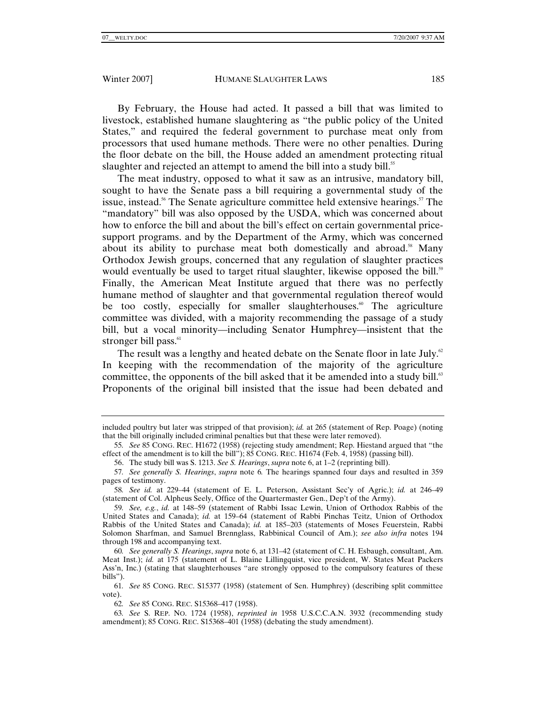By February, the House had acted. It passed a bill that was limited to livestock, established humane slaughtering as "the public policy of the United States," and required the federal government to purchase meat only from processors that used humane methods. There were no other penalties. During the floor debate on the bill, the House added an amendment protecting ritual slaughter and rejected an attempt to amend the bill into a study bill.<sup>55</sup>

The meat industry, opposed to what it saw as an intrusive, mandatory bill, sought to have the Senate pass a bill requiring a governmental study of the issue, instead.<sup>56</sup> The Senate agriculture committee held extensive hearings.<sup>57</sup> The "mandatory" bill was also opposed by the USDA, which was concerned about how to enforce the bill and about the bill's effect on certain governmental pricesupport programs. and by the Department of the Army, which was concerned about its ability to purchase meat both domestically and abroad.<sup>58</sup> Many Orthodox Jewish groups, concerned that any regulation of slaughter practices would eventually be used to target ritual slaughter, likewise opposed the bill.<sup>59</sup> Finally, the American Meat Institute argued that there was no perfectly humane method of slaughter and that governmental regulation thereof would be too costly, especially for smaller slaughterhouses.<sup> $60$ </sup> The agriculture committee was divided, with a majority recommending the passage of a study bill, but a vocal minority—including Senator Humphrey—insistent that the stronger bill pass.<sup>61</sup>

The result was a lengthy and heated debate on the Senate floor in late July.<sup>62</sup> In keeping with the recommendation of the majority of the agriculture committee, the opponents of the bill asked that it be amended into a study bill. $63$ Proponents of the original bill insisted that the issue had been debated and

included poultry but later was stripped of that provision); *id.* at 265 (statement of Rep. Poage) (noting that the bill originally included criminal penalties but that these were later removed).

<sup>55</sup>*. See* 85 CONG. REC. H1672 (1958) (rejecting study amendment; Rep. Hiestand argued that "the effect of the amendment is to kill the bill"); 85 CONG. REC. H1674 (Feb. 4, 1958) (passing bill).

 <sup>56.</sup> The study bill was S. 1213. *See S. Hearings*, *supra* note 6, at 1–2 (reprinting bill).

<sup>57</sup>*. See generally S. Hearings*, *supra* note 6*.* The hearings spanned four days and resulted in 359 pages of testimony.

<sup>58</sup>*. See id.* at 229–44 (statement of E. L. Peterson, Assistant Sec'y of Agric.); *id.* at 246–49 (statement of Col. Alpheus Seely, Office of the Quartermaster Gen., Dep't of the Army).

<sup>59</sup>*. See, e.g.*, *id.* at 148–59 (statement of Rabbi Issac Lewin, Union of Orthodox Rabbis of the United States and Canada); *id.* at 159–64 (statement of Rabbi Pinchas Teitz, Union of Orthodox Rabbis of the United States and Canada); *id.* at 185–203 (statements of Moses Feuerstein, Rabbi Solomon Sharfman, and Samuel Brennglass, Rabbinical Council of Am.); *see also infra* notes 194 through 198 and accompanying text.

<sup>60</sup>*. See generally S. Hearings*, *supra* note 6, at 131–42 (statement of C. H. Esbaugh, consultant, Am. Meat Inst.); *id.* at 175 (statement of L. Blaine Lillingquist, vice president, W. States Meat Packers Ass'n, Inc.) (stating that slaughterhouses "are strongly opposed to the compulsory features of these bills").

<sup>61</sup>*. See* 85 CONG. REC. S15377 (1958) (statement of Sen. Humphrey) (describing split committee vote).

<sup>62</sup>*. See* 85 CONG. REC. S15368–417 (1958).

<sup>63</sup>*. See* S. REP. NO. 1724 (1958), *reprinted in* 1958 U.S.C.C.A.N. 3932 (recommending study amendment); 85 CONG. REC. S15368–401 (1958) (debating the study amendment).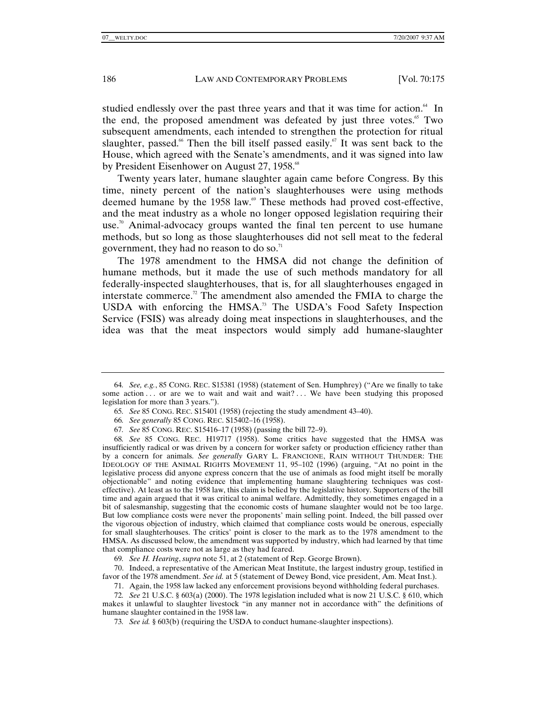studied endlessly over the past three years and that it was time for action.<sup>64</sup> In the end, the proposed amendment was defeated by just three votes.<sup>65</sup> Two subsequent amendments, each intended to strengthen the protection for ritual slaughter, passed.<sup>66</sup> Then the bill itself passed easily.<sup>67</sup> It was sent back to the House, which agreed with the Senate's amendments, and it was signed into law by President Eisenhower on August 27, 1958.<sup>68</sup>

Twenty years later, humane slaughter again came before Congress. By this time, ninety percent of the nation's slaughterhouses were using methods deemed humane by the 1958 law.<sup>69</sup> These methods had proved cost-effective, and the meat industry as a whole no longer opposed legislation requiring their use.<sup>70</sup> Animal-advocacy groups wanted the final ten percent to use humane methods, but so long as those slaughterhouses did not sell meat to the federal government, they had no reason to do so. $71$ 

The 1978 amendment to the HMSA did not change the definition of humane methods, but it made the use of such methods mandatory for all federally-inspected slaughterhouses, that is, for all slaughterhouses engaged in interstate commerce.<sup>72</sup> The amendment also amended the FMIA to charge the USDA with enforcing the HMSA.<sup>73</sup> The USDA's Food Safety Inspection Service (FSIS) was already doing meat inspections in slaughterhouses, and the idea was that the meat inspectors would simply add humane-slaughter

68*. See* 85 CONG. REC. H19717 (1958). Some critics have suggested that the HMSA was insufficiently radical or was driven by a concern for worker safety or production efficiency rather than by a concern for animals. *See generally* GARY L. FRANCIONE, RAIN WITHOUT THUNDER: THE IDEOLOGY OF THE ANIMAL RIGHTS MOVEMENT 11, 95–102 (1996) (arguing, "At no point in the legislative process did anyone express concern that the use of animals as food might itself be morally objectionable" and noting evidence that implementing humane slaughtering techniques was costeffective). At least as to the 1958 law, this claim is belied by the legislative history. Supporters of the bill time and again argued that it was critical to animal welfare. Admittedly, they sometimes engaged in a bit of salesmanship, suggesting that the economic costs of humane slaughter would not be too large. But low compliance costs were never the proponents' main selling point. Indeed, the bill passed over the vigorous objection of industry, which claimed that compliance costs would be onerous, especially for small slaughterhouses. The critics' point is closer to the mark as to the 1978 amendment to the HMSA. As discussed below, the amendment was supported by industry, which had learned by that time that compliance costs were not as large as they had feared.

69*. See H. Hearing*, *supra* note 51, at 2 (statement of Rep. George Brown).

 70. Indeed, a representative of the American Meat Institute, the largest industry group, testified in favor of the 1978 amendment. *See id.* at 5 (statement of Dewey Bond, vice president, Am. Meat Inst.).

71. Again, the 1958 law lacked any enforcement provisions beyond withholding federal purchases.

72*. See* 21 U.S.C. § 603(a) (2000). The 1978 legislation included what is now 21 U.S.C. § 610, which makes it unlawful to slaughter livestock "in any manner not in accordance with" the definitions of humane slaughter contained in the 1958 law.

73*. See id.* § 603(b) (requiring the USDA to conduct humane-slaughter inspections).

<sup>64</sup>*. See, e.g.*, 85 CONG. REC. S15381 (1958) (statement of Sen. Humphrey) ("Are we finally to take some action ... or are we to wait and wait and wait?... We have been studying this proposed legislation for more than 3 years.").

<sup>65</sup>*. See* 85 CONG. REC. S15401 (1958) (rejecting the study amendment 43–40).

<sup>66</sup>*. See generally* 85 CONG. REC. S15402–16 (1958).

<sup>67</sup>*. See* 85 CONG. REC. S15416–17 (1958) (passing the bill 72–9).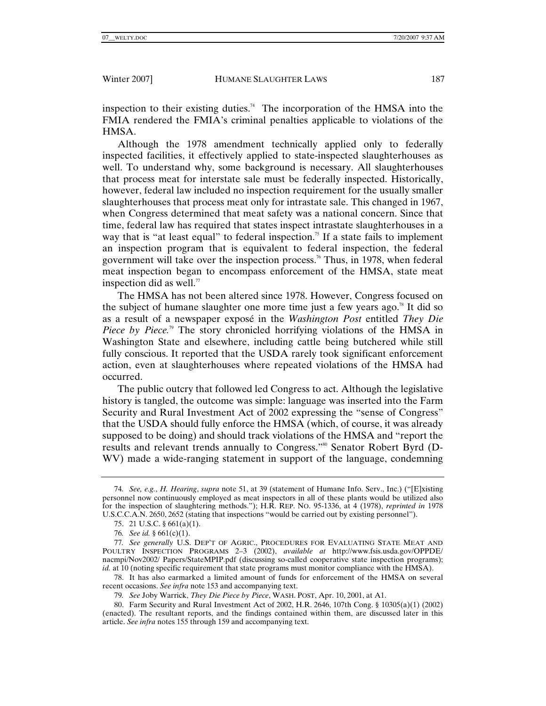inspection to their existing duties.<sup>74</sup> The incorporation of the HMSA into the FMIA rendered the FMIA's criminal penalties applicable to violations of the HMSA.

Although the 1978 amendment technically applied only to federally inspected facilities, it effectively applied to state-inspected slaughterhouses as well. To understand why, some background is necessary. All slaughterhouses that process meat for interstate sale must be federally inspected. Historically, however, federal law included no inspection requirement for the usually smaller slaughterhouses that process meat only for intrastate sale. This changed in 1967, when Congress determined that meat safety was a national concern. Since that time, federal law has required that states inspect intrastate slaughterhouses in a way that is "at least equal" to federal inspection.<sup>75</sup> If a state fails to implement an inspection program that is equivalent to federal inspection, the federal government will take over the inspection process.<sup>76</sup> Thus, in 1978, when federal meat inspection began to encompass enforcement of the HMSA, state meat inspection did as well. $\pi$ 

The HMSA has not been altered since 1978. However, Congress focused on the subject of humane slaughter one more time just a few years ago.<sup>78</sup> It did so as a result of a newspaper exposé in the *Washington Post* entitled *They Die Piece by Piece.*<sup>79</sup> The story chronicled horrifying violations of the HMSA in Washington State and elsewhere, including cattle being butchered while still fully conscious. It reported that the USDA rarely took significant enforcement action, even at slaughterhouses where repeated violations of the HMSA had occurred.

The public outcry that followed led Congress to act. Although the legislative history is tangled, the outcome was simple: language was inserted into the Farm Security and Rural Investment Act of 2002 expressing the "sense of Congress" that the USDA should fully enforce the HMSA (which, of course, it was already supposed to be doing) and should track violations of the HMSA and "report the results and relevant trends annually to Congress."<sup>80</sup> Senator Robert Byrd (D-WV) made a wide-ranging statement in support of the language, condemning

 78. It has also earmarked a limited amount of funds for enforcement of the HMSA on several recent occasions. *See infra* note 153 and accompanying text.

79*. See* Joby Warrick, *They Die Piece by Piece*, WASH. POST, Apr. 10, 2001, at A1.

<sup>74</sup>*. See, e.g.*, *H. Hearing*, *supra* note 51, at 39 (statement of Humane Info. Serv., Inc.) ("[E]xisting personnel now continuously employed as meat inspectors in all of these plants would be utilized also for the inspection of slaughtering methods."); H.R. REP. NO. 95-1336, at 4 (1978), *reprinted in* 1978 U.S.C.C.A.N. 2650, 2652 (stating that inspections "would be carried out by existing personnel").

 <sup>75. 21</sup> U.S.C. § 661(a)(1).

<sup>76</sup>*. See id.* § 661(c)(1).

<sup>77</sup>*. See generally* U.S. DEP'T OF AGRIC., PROCEDURES FOR EVALUATING STATE MEAT AND POULTRY INSPECTION PROGRAMS 2–3 (2002), *available at* http://www.fsis.usda.gov/OPPDE/ nacmpi/Nov2002/ Papers/StateMPIP.pdf (discussing so-called cooperative state inspection programs); *id.* at 10 (noting specific requirement that state programs must monitor compliance with the HMSA).

 <sup>80.</sup> Farm Security and Rural Investment Act of 2002, H.R. 2646, 107th Cong. § 10305(a)(1) (2002) (enacted). The resultant reports, and the findings contained within them, are discussed later in this article. *See infra* notes 155 through 159 and accompanying text.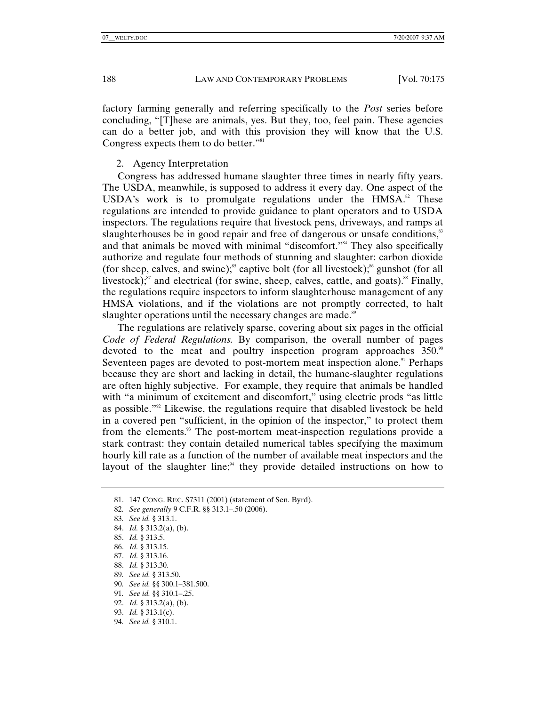factory farming generally and referring specifically to the *Post* series before concluding, "[T]hese are animals, yes. But they, too, feel pain. These agencies can do a better job, and with this provision they will know that the U.S. Congress expects them to do better."<sup>81</sup>

## 2. Agency Interpretation

Congress has addressed humane slaughter three times in nearly fifty years. The USDA, meanwhile, is supposed to address it every day. One aspect of the USDA's work is to promulgate regulations under the  $HMSA$ <sup>2</sup>.<sup>82</sup> These regulations are intended to provide guidance to plant operators and to USDA inspectors. The regulations require that livestock pens, driveways, and ramps at slaughterhouses be in good repair and free of dangerous or unsafe conditions,<sup>83</sup> and that animals be moved with minimal "discomfort."<sup>84</sup> They also specifically authorize and regulate four methods of stunning and slaughter: carbon dioxide (for sheep, calves, and swine);<sup>85</sup> captive bolt (for all livestock);<sup>86</sup> gunshot (for all livestock); $s^8$  and electrical (for swine, sheep, calves, cattle, and goats). $s^8$  Finally, the regulations require inspectors to inform slaughterhouse management of any HMSA violations, and if the violations are not promptly corrected, to halt slaughter operations until the necessary changes are made.<sup>89</sup>

The regulations are relatively sparse, covering about six pages in the official *Code of Federal Regulations.* By comparison, the overall number of pages devoted to the meat and poultry inspection program approaches  $350$ .<sup>90</sup> Seventeen pages are devoted to post-mortem meat inspection alone.<sup>91</sup> Perhaps because they are short and lacking in detail, the humane-slaughter regulations are often highly subjective. For example, they require that animals be handled with "a minimum of excitement and discomfort," using electric prods "as little as possible." $2^{20}$  Likewise, the regulations require that disabled livestock be held in a covered pen "sufficient, in the opinion of the inspector," to protect them from the elements.<sup>93</sup> The post-mortem meat-inspection regulations provide a stark contrast: they contain detailed numerical tables specifying the maximum hourly kill rate as a function of the number of available meat inspectors and the layout of the slaughter line;<sup>94</sup> they provide detailed instructions on how to

- 85. *Id.* § 313.5.
- 86. *Id.* § 313.15.
- 87. *Id.* § 313.16.
- 88. *Id.* § 313.30.
- 89*. See id.* § 313.50.
- 90*. See id.* §§ 300.1–381.500.
- 91*. See id.* §§ 310.1–.25.
- 92. *Id.* § 313.2(a), (b).
- 93. *Id.* § 313.1(c).
- 94*. See id.* § 310.1.

 <sup>81. 147</sup> CONG. REC. S7311 (2001) (statement of Sen. Byrd).

<sup>82</sup>*. See generally* 9 C.F.R. §§ 313.1–.50 (2006).

<sup>83</sup>*. See id.* § 313.1.

 <sup>84.</sup> *Id.* § 313.2(a), (b).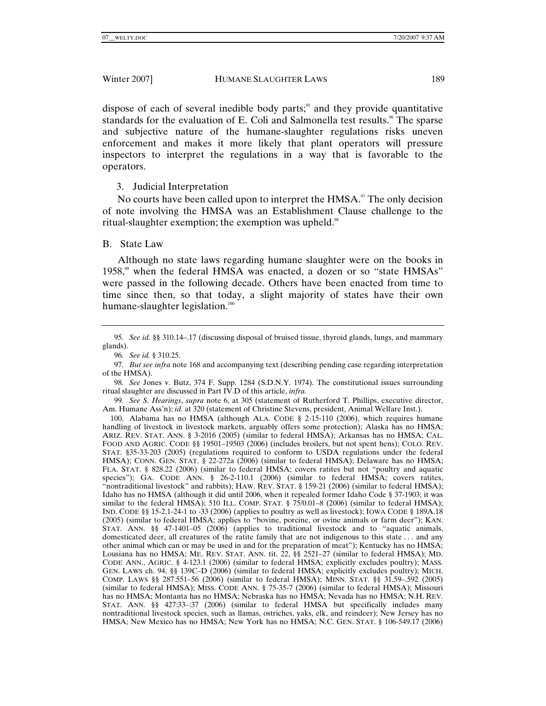dispose of each of several inedible body parts;<sup>95</sup> and they provide quantitative standards for the evaluation of E. Coli and Salmonella test results.<sup>96</sup> The sparse and subjective nature of the humane-slaughter regulations risks uneven enforcement and makes it more likely that plant operators will pressure inspectors to interpret the regulations in a way that is favorable to the operators.

# 3. Judicial Interpretation

No courts have been called upon to interpret the  $HMSA$ .<sup>97</sup> The only decision of note involving the HMSA was an Establishment Clause challenge to the ritual-slaughter exemption; the exemption was upheld. $98$ 

## B. State Law

Although no state laws regarding humane slaughter were on the books in 1958,<sup>99</sup> when the federal HMSA was enacted, a dozen or so "state HMSAs" were passed in the following decade. Others have been enacted from time to time since then, so that today, a slight majority of states have their own humane-slaughter legislation.<sup>100</sup>

99*. See S. Hearings*, *supra* note 6, at 305 (statement of Rutherford T. Phillips, executive director, Am. Humane Ass'n); *id.* at 320 (statement of Christine Stevens, president, Animal Welfare Inst.).

 100. Alabama has no HMSA (although ALA. CODE § 2-15-110 (2006), which requires humane handling of livestock in livestock markets, arguably offers some protection); Alaska has no HMSA; ARIZ. REV. STAT. ANN. § 3-2016 (2005) (similar to federal HMSA); Arkansas has no HMSA; CAL. FOOD AND AGRIC. CODE §§ 19501–19503 (2006) (includes broilers, but not spent hens); COLO. REV. STAT. §35-33-203 (2005) (regulations required to conform to USDA regulations under the federal HMSA); CONN. GEN. STAT. § 22-272a (2006) (similar to federal HMSA); Delaware has no HMSA; FLA. STAT. § 828.22 (2006) (similar to federal HMSA; covers ratites but not "poultry and aquatic species"); GA. CODE ANN. § 26-2-110.1 (2006) (similar to federal HMSA; covers ratites, "nontraditional livestock" and rabbits); HAW. REV. STAT. § 159-21 (2006) (similar to federal HMSA); Idaho has no HMSA (although it did until 2006, when it repealed former Idaho Code § 37-1903; it was similar to the federal HMSA); 510 ILL. COMP. STAT. § 75/0.01–8 (2006) (similar to federal HMSA); IND. CODE §§ 15-2.1-24-1 to -33 (2006) (applies to poultry as well as livestock); IOWA CODE § 189A.18 (2005) (similar to federal HMSA; applies to "bovine, porcine, or ovine animals or farm deer"); KAN. STAT. ANN. §§ 47-1401–05 (2006) (applies to traditional livestock and to "aquatic animals, domesticated deer, all creatures of the ratite family that are not indigenous to this state . . . and any other animal which can or may be used in and for the preparation of meat"); Kentucky has no HMSA; Lousiana has no HMSA; ME. REV. STAT. ANN. tit. 22, §§ 2521–27 (similar to federal HMSA); MD. CODE ANN., AGRIC. § 4-123.1 (2006) (similar to federal HMSA; explicitly excludes poultry); MASS. GEN. LAWS ch. 94, §§ 139C–D (2006) (similar to federal HMSA; explicitly excludes poultry); MICH. COMP. LAWS §§ 287.551–56 (2006) (similar to federal HMSA); MINN. STAT. §§ 31.59–.592 (2005) (similar to federal HMSA); MISS. CODE ANN. § 75-35-7 (2006) (similar to federal HMSA); Missouri has no HMSA; Montanta has no HMSA; Nebraska has no HMSA; Nevada has no HMSA; N.H. REV. STAT. ANN. §§ 427:33–:37 (2006) (similar to federal HMSA but specifically includes many nontraditional livestock species, such as llamas, ostriches, yaks, elk, and reindeer); New Jersey has no HMSA; New Mexico has no HMSA; New York has no HMSA; N.C. GEN. STAT. § 106-549.17 (2006)

<sup>95</sup>*. See id.* §§ 310.14–.17 (discussing disposal of bruised tissue, thyroid glands, lungs, and mammary glands).

<sup>96</sup>*. See id.* § 310.25.

<sup>97</sup>*. But see infra* note 168 and accompanying text (describing pending case regarding interpretation of the HMSA).

<sup>98</sup>*. See* Jones v. Butz, 374 F. Supp. 1284 (S.D.N.Y. 1974). The constitutional issues surrounding ritual slaughter are discussed in Part IV.D of this article, *infra.*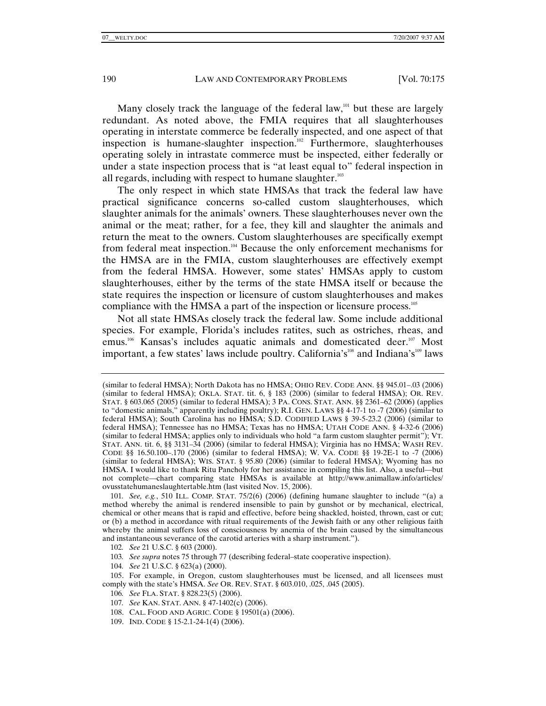Many closely track the language of the federal law, $101$  but these are largely redundant. As noted above, the FMIA requires that all slaughterhouses operating in interstate commerce be federally inspected, and one aspect of that inspection is humane-slaughter inspection.<sup>102</sup> Furthermore, slaughterhouses operating solely in intrastate commerce must be inspected, either federally or under a state inspection process that is "at least equal to" federal inspection in all regards, including with respect to humane slaughter.<sup>103</sup>

The only respect in which state HMSAs that track the federal law have practical significance concerns so-called custom slaughterhouses, which slaughter animals for the animals' owners. These slaughterhouses never own the animal or the meat; rather, for a fee, they kill and slaughter the animals and return the meat to the owners. Custom slaughterhouses are specifically exempt from federal meat inspection.<sup>104</sup> Because the only enforcement mechanisms for the HMSA are in the FMIA, custom slaughterhouses are effectively exempt from the federal HMSA. However, some states' HMSAs apply to custom slaughterhouses, either by the terms of the state HMSA itself or because the state requires the inspection or licensure of custom slaughterhouses and makes compliance with the HMSA a part of the inspection or licensure process.<sup>105</sup>

Not all state HMSAs closely track the federal law. Some include additional species. For example, Florida's includes ratites, such as ostriches, rheas, and emus.<sup>106</sup> Kansas's includes aquatic animals and domesticated deer.<sup>107</sup> Most important, a few states' laws include poultry. California's<sup>108</sup> and Indiana's<sup>109</sup> laws

104*. See* 21 U.S.C. § 623(a) (2000).

106*. See* FLA. STAT. § 828.23(5) (2006).

109. IND. CODE § 15-2.1-24-1(4) (2006).

<sup>(</sup>similar to federal HMSA); North Dakota has no HMSA; OHIO REV. CODE ANN. §§ 945.01–.03 (2006) (similar to federal HMSA); OKLA. STAT. tit. 6, § 183 (2006) (similar to federal HMSA); OR. REV. STAT. § 603.065 (2005) (similar to federal HMSA); 3 PA. CONS. STAT. ANN. §§ 2361–62 (2006) (applies to "domestic animals," apparently including poultry); R.I. GEN. LAWS §§ 4-17-1 to -7 (2006) (similar to federal HMSA); South Carolina has no HMSA; S.D. CODIFIED LAWS § 39-5-23.2 (2006) (similar to federal HMSA); Tennessee has no HMSA; Texas has no HMSA; UTAH CODE ANN. § 4-32-6 (2006) (similar to federal HMSA; applies only to individuals who hold "a farm custom slaughter permit"); VT. STAT. ANN. tit. 6, §§ 3131–34 (2006) (similar to federal HMSA); Virginia has no HMSA; WASH REV. CODE §§ 16.50.100–.170 (2006) (similar to federal HMSA); W. VA. CODE §§ 19-2E-1 to -7 (2006) (similar to federal HMSA); WIS. STAT. § 95.80 (2006) (similar to federal HMSA); Wyoming has no HMSA. I would like to thank Ritu Pancholy for her assistance in compiling this list. Also, a useful—but not complete—chart comparing state HMSAs is available at http://www.animallaw.info/articles/ ovusstatehumaneslaughtertable.htm (last visited Nov. 15, 2006).

<sup>101</sup>*. See, e.g.*, 510 ILL. COMP. STAT. 75/2(6) (2006) (defining humane slaughter to include "(a) a method whereby the animal is rendered insensible to pain by gunshot or by mechanical, electrical, chemical or other means that is rapid and effective, before being shackled, hoisted, thrown, cast or cut; or (b) a method in accordance with ritual requirements of the Jewish faith or any other religious faith whereby the animal suffers loss of consciousness by anemia of the brain caused by the simultaneous and instantaneous severance of the carotid arteries with a sharp instrument.").

<sup>102</sup>*. See* 21 U.S.C. § 603 (2000).

<sup>103</sup>*. See supra* notes 75 through 77 (describing federal–state cooperative inspection).

 <sup>105.</sup> For example, in Oregon, custom slaughterhouses must be licensed, and all licensees must comply with the state's HMSA. *See* OR. REV. STAT. § 603.010, .025, .045 (2005).

<sup>107</sup>*. See* KAN. STAT. ANN. § 47-1402(c) (2006).

 <sup>108.</sup> CAL. FOOD AND AGRIC. CODE § 19501(a) (2006).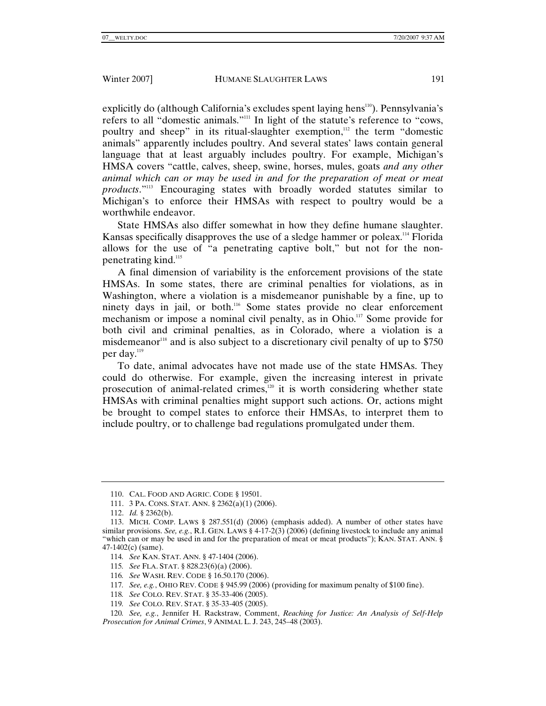explicitly do (although California's excludes spent laying hens<sup>110</sup>). Pennsylvania's refers to all "domestic animals."111 In light of the statute's reference to "cows, poultry and sheep" in its ritual-slaughter exemption,<sup>112</sup> the term "domestic animals" apparently includes poultry. And several states' laws contain general language that at least arguably includes poultry. For example, Michigan's HMSA covers "cattle, calves, sheep, swine, horses, mules, goats *and any other animal which can or may be used in and for the preparation of meat or meat products*."113 Encouraging states with broadly worded statutes similar to Michigan's to enforce their HMSAs with respect to poultry would be a worthwhile endeavor.

State HMSAs also differ somewhat in how they define humane slaughter. Kansas specifically disapproves the use of a sledge hammer or poleax.<sup>114</sup> Florida allows for the use of "a penetrating captive bolt," but not for the nonpenetrating kind.<sup>115</sup>

A final dimension of variability is the enforcement provisions of the state HMSAs. In some states, there are criminal penalties for violations, as in Washington, where a violation is a misdemeanor punishable by a fine, up to ninety days in jail, or both.<sup>116</sup> Some states provide no clear enforcement mechanism or impose a nominal civil penalty, as in Ohio.<sup>117</sup> Some provide for both civil and criminal penalties, as in Colorado, where a violation is a misdemeanor<sup>118</sup> and is also subject to a discretionary civil penalty of up to  $$750$ per day.<sup>119</sup>

To date, animal advocates have not made use of the state HMSAs. They could do otherwise. For example, given the increasing interest in private prosecution of animal-related crimes, $120$  it is worth considering whether state HMSAs with criminal penalties might support such actions. Or, actions might be brought to compel states to enforce their HMSAs, to interpret them to include poultry, or to challenge bad regulations promulgated under them.

- 118*. See* COLO. REV. STAT. § 35-33-406 (2005).
- 119*. See* COLO. REV. STAT. § 35-33-405 (2005).

120*. See, e.g.*, Jennifer H. Rackstraw, Comment, *Reaching for Justice: An Analysis of Self-Help Prosecution for Animal Crimes*, 9 ANIMAL L. J. 243, 245–48 (2003).

 <sup>110.</sup> CAL. FOOD AND AGRIC. CODE § 19501.

 <sup>111. 3</sup> PA. CONS. STAT. ANN. § 2362(a)(1) (2006).

 <sup>112.</sup> *Id.* § 2362(b).

 <sup>113.</sup> MICH. COMP. LAWS § 287.551(d) (2006) (emphasis added). A number of other states have similar provisions. *See, e.g.*, R.I. GEN. LAWS § 4-17-2(3) (2006) (defining livestock to include any animal "which can or may be used in and for the preparation of meat or meat products"); KAN. STAT. ANN. § 47-1402(c) (same).

<sup>114</sup>*. See* KAN. STAT. ANN. § 47-1404 (2006).

<sup>115</sup>*. See* FLA. STAT. § 828.23(6)(a) (2006).

<sup>116</sup>*. See* WASH. REV. CODE § 16.50.170 (2006).

<sup>117</sup>*. See, e.g.*, OHIO REV. CODE § 945.99 (2006) (providing for maximum penalty of \$100 fine).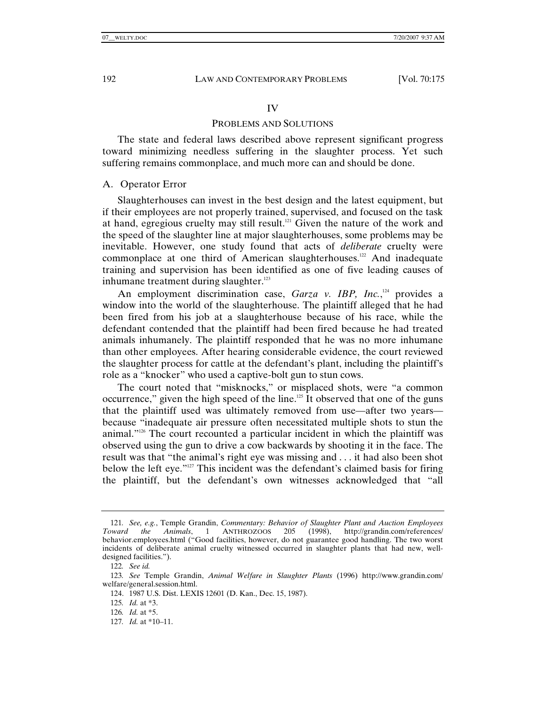#### IV

## PROBLEMS AND SOLUTIONS

The state and federal laws described above represent significant progress toward minimizing needless suffering in the slaughter process. Yet such suffering remains commonplace, and much more can and should be done.

#### A. Operator Error

Slaughterhouses can invest in the best design and the latest equipment, but if their employees are not properly trained, supervised, and focused on the task at hand, egregious cruelty may still result.<sup>121</sup> Given the nature of the work and the speed of the slaughter line at major slaughterhouses, some problems may be inevitable. However, one study found that acts of *deliberate* cruelty were commonplace at one third of American slaughterhouses.<sup>122</sup> And inadequate training and supervision has been identified as one of five leading causes of inhumane treatment during slaughter.<sup>123</sup>

An employment discrimination case, *Garza v. IBP*, *Inc.*,<sup>124</sup> provides a window into the world of the slaughterhouse. The plaintiff alleged that he had been fired from his job at a slaughterhouse because of his race, while the defendant contended that the plaintiff had been fired because he had treated animals inhumanely. The plaintiff responded that he was no more inhumane than other employees. After hearing considerable evidence, the court reviewed the slaughter process for cattle at the defendant's plant, including the plaintiff's role as a "knocker" who used a captive-bolt gun to stun cows.

The court noted that "misknocks," or misplaced shots, were "a common occurrence," given the high speed of the line.<sup>125</sup> It observed that one of the guns that the plaintiff used was ultimately removed from use—after two years because "inadequate air pressure often necessitated multiple shots to stun the animal."126 The court recounted a particular incident in which the plaintiff was observed using the gun to drive a cow backwards by shooting it in the face. The result was that "the animal's right eye was missing and . . . it had also been shot below the left eye."127 This incident was the defendant's claimed basis for firing the plaintiff, but the defendant's own witnesses acknowledged that "all

<sup>121</sup>*. See, e.g.*, Temple Grandin, *Commentary: Behavior of Slaughter Plant and Auction Employees Toward the Animals*, 1 ANTHROZOOS 205 (1998), http://grandin.com/references/ behavior.employees.html ("Good facilities, however, do not guarantee good handling. The two worst incidents of deliberate animal cruelty witnessed occurred in slaughter plants that had new, welldesigned facilities.").

<sup>122</sup>*. See id.*

<sup>123</sup>*. See* Temple Grandin, *Animal Welfare in Slaughter Plants* (1996) http://www.grandin.com/ welfare/general.session.html.

 <sup>124. 1987</sup> U.S. Dist. LEXIS 12601 (D. Kan., Dec. 15, 1987).

<sup>125</sup>*. Id.* at \*3.

<sup>126</sup>*. Id.* at \*5.

<sup>127</sup>*. Id.* at \*10–11.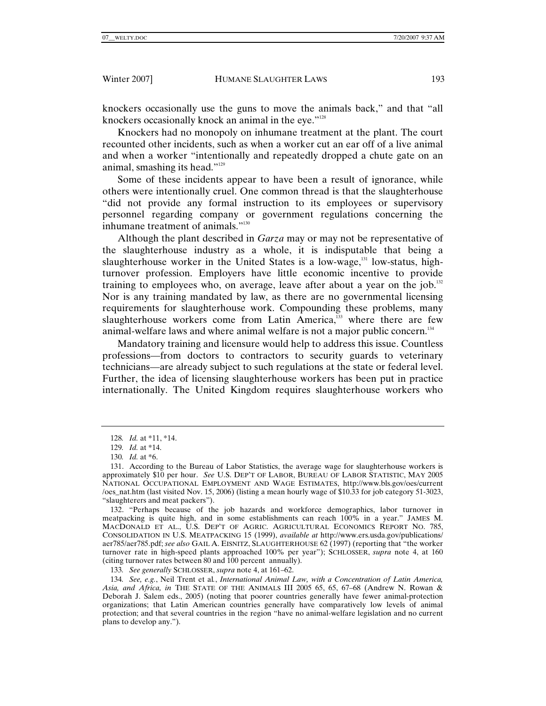knockers occasionally use the guns to move the animals back," and that "all knockers occasionally knock an animal in the eye."<sup>128</sup>

Knockers had no monopoly on inhumane treatment at the plant. The court recounted other incidents, such as when a worker cut an ear off of a live animal and when a worker "intentionally and repeatedly dropped a chute gate on an animal, smashing its head."129

Some of these incidents appear to have been a result of ignorance, while others were intentionally cruel. One common thread is that the slaughterhouse "did not provide any formal instruction to its employees or supervisory personnel regarding company or government regulations concerning the inhumane treatment of animals."<sup>130</sup>

Although the plant described in *Garza* may or may not be representative of the slaughterhouse industry as a whole, it is indisputable that being a slaughterhouse worker in the United States is a low-wage,<sup>131</sup> low-status, highturnover profession. Employers have little economic incentive to provide training to employees who, on average, leave after about a year on the job.<sup>132</sup> Nor is any training mandated by law, as there are no governmental licensing requirements for slaughterhouse work. Compounding these problems, many slaughterhouse workers come from Latin America,<sup>133</sup> where there are few animal-welfare laws and where animal welfare is not a major public concern.<sup>134</sup>

Mandatory training and licensure would help to address this issue. Countless professions—from doctors to contractors to security guards to veterinary technicians—are already subject to such regulations at the state or federal level. Further, the idea of licensing slaughterhouse workers has been put in practice internationally. The United Kingdom requires slaughterhouse workers who

133*. See generally* SCHLOSSER, *supra* note 4, at 161–62.

134*. See, e.g.*, Neil Trent et al*.*, *International Animal Law, with a Concentration of Latin America, Asia, and Africa, in* THE STATE OF THE ANIMALS III 2005 65, 65, 67–68 (Andrew N. Rowan & Deborah J. Salem eds., 2005) (noting that poorer countries generally have fewer animal-protection organizations; that Latin American countries generally have comparatively low levels of animal protection; and that several countries in the region "have no animal-welfare legislation and no current plans to develop any.").

<sup>128</sup>*. Id.* at \*11, \*14.

<sup>129</sup>*. Id.* at \*14.

<sup>130</sup>*. Id.* at \*6.

 <sup>131.</sup> According to the Bureau of Labor Statistics, the average wage for slaughterhouse workers is approximately \$10 per hour. *See* U.S. DEP'T OF LABOR, BUREAU OF LABOR STATISTIC, MAY 2005 NATIONAL OCCUPATIONAL EMPLOYMENT AND WAGE ESTIMATES, http://www.bls.gov/oes/current /oes\_nat.htm (last visited Nov. 15, 2006) (listing a mean hourly wage of \$10.33 for job category 51-3023, "slaughterers and meat packers").

 <sup>132. &</sup>quot;Perhaps because of the job hazards and workforce demographics, labor turnover in meatpacking is quite high, and in some establishments can reach 100% in a year." JAMES M. MACDONALD ET AL., U.S. DEP'T OF AGRIC. AGRICULTURAL ECONOMICS REPORT NO. 785, CONSOLIDATION IN U.S. MEATPACKING 15 (1999), *available at* http://www.ers.usda.gov/publications/ aer785/aer785.pdf; *see also* GAIL A. EISNITZ, SLAUGHTERHOUSE 62 (1997) (reporting that "the worker turnover rate in high-speed plants approached 100% per year"); SCHLOSSER, *supra* note 4, at 160 (citing turnover rates between 80 and 100 percent annually).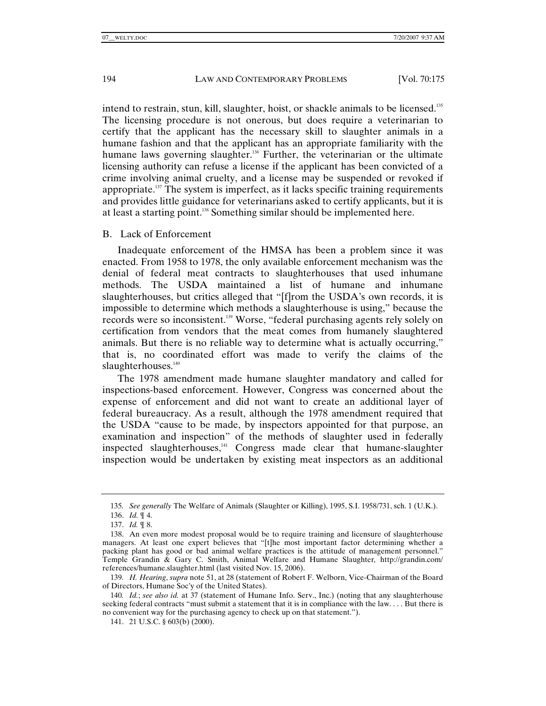intend to restrain, stun, kill, slaughter, hoist, or shackle animals to be licensed.<sup>135</sup> The licensing procedure is not onerous, but does require a veterinarian to certify that the applicant has the necessary skill to slaughter animals in a humane fashion and that the applicant has an appropriate familiarity with the humane laws governing slaughter.<sup>136</sup> Further, the veterinarian or the ultimate licensing authority can refuse a license if the applicant has been convicted of a crime involving animal cruelty, and a license may be suspended or revoked if appropriate.137 The system is imperfect, as it lacks specific training requirements and provides little guidance for veterinarians asked to certify applicants, but it is at least a starting point.138 Something similar should be implemented here.

### B. Lack of Enforcement

Inadequate enforcement of the HMSA has been a problem since it was enacted. From 1958 to 1978, the only available enforcement mechanism was the denial of federal meat contracts to slaughterhouses that used inhumane methods. The USDA maintained a list of humane and inhumane slaughterhouses, but critics alleged that "[f]rom the USDA's own records, it is impossible to determine which methods a slaughterhouse is using," because the records were so inconsistent.<sup>139</sup> Worse, "federal purchasing agents rely solely on certification from vendors that the meat comes from humanely slaughtered animals. But there is no reliable way to determine what is actually occurring," that is, no coordinated effort was made to verify the claims of the slaughterhouses.<sup>140</sup>

The 1978 amendment made humane slaughter mandatory and called for inspections-based enforcement. However, Congress was concerned about the expense of enforcement and did not want to create an additional layer of federal bureaucracy. As a result, although the 1978 amendment required that the USDA "cause to be made, by inspectors appointed for that purpose, an examination and inspection" of the methods of slaughter used in federally inspected slaughterhouses,<sup>141</sup> Congress made clear that humane-slaughter inspection would be undertaken by existing meat inspectors as an additional

<sup>135</sup>*. See generally* The Welfare of Animals (Slaughter or Killing), 1995, S.I. 1958/731, sch. 1 (U.K.).

 <sup>136.</sup> *Id.* ¶ 4.

 <sup>137.</sup> *Id.* ¶ 8.

 <sup>138.</sup> An even more modest proposal would be to require training and licensure of slaughterhouse managers. At least one expert believes that "[t]he most important factor determining whether a packing plant has good or bad animal welfare practices is the attitude of management personnel." Temple Grandin & Gary C. Smith, Animal Welfare and Humane Slaughter*,* http://grandin.com/ references/humane.slaughter.html (last visited Nov. 15, 2006).

<sup>139</sup>*. H. Hearing*, *supra* note 51, at 28 (statement of Robert F. Welborn, Vice-Chairman of the Board of Directors, Humane Soc'y of the United States).

<sup>140</sup>*. Id.*; *see also id.* at 37 (statement of Humane Info. Serv., Inc.) (noting that any slaughterhouse seeking federal contracts "must submit a statement that it is in compliance with the law. . . . But there is no convenient way for the purchasing agency to check up on that statement.").

 <sup>141. 21</sup> U.S.C. § 603(b) (2000).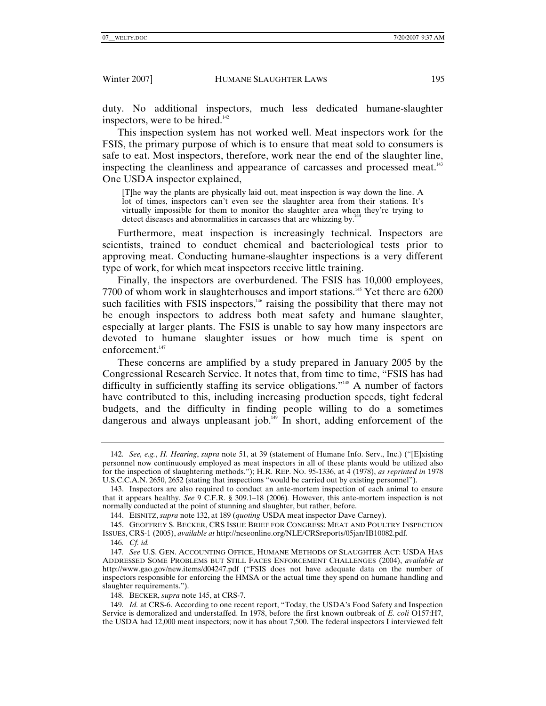duty. No additional inspectors, much less dedicated humane-slaughter inspectors, were to be hired.<sup>142</sup>

This inspection system has not worked well. Meat inspectors work for the FSIS, the primary purpose of which is to ensure that meat sold to consumers is safe to eat. Most inspectors, therefore, work near the end of the slaughter line, inspecting the cleanliness and appearance of carcasses and processed meat.143 One USDA inspector explained,

[T]he way the plants are physically laid out, meat inspection is way down the line. A lot of times, inspectors can't even see the slaughter area from their stations. It's virtually impossible for them to monitor the slaughter area when they're trying to detect diseases and abnormalities in carcasses that are whizzing by. $1444$ 

Furthermore, meat inspection is increasingly technical. Inspectors are scientists, trained to conduct chemical and bacteriological tests prior to approving meat. Conducting humane-slaughter inspections is a very different type of work, for which meat inspectors receive little training.

Finally, the inspectors are overburdened. The FSIS has 10,000 employees, 7700 of whom work in slaughterhouses and import stations.<sup>145</sup> Yet there are 6200 such facilities with FSIS inspectors,<sup>146</sup> raising the possibility that there may not be enough inspectors to address both meat safety and humane slaughter, especially at larger plants. The FSIS is unable to say how many inspectors are devoted to humane slaughter issues or how much time is spent on enforcement.<sup>147</sup>

These concerns are amplified by a study prepared in January 2005 by the Congressional Research Service. It notes that, from time to time, "FSIS has had difficulty in sufficiently staffing its service obligations."<sup>148</sup> A number of factors have contributed to this, including increasing production speeds, tight federal budgets, and the difficulty in finding people willing to do a sometimes dangerous and always unpleasant job.<sup>149</sup> In short, adding enforcement of the

 145. GEOFFREY S. BECKER, CRS ISSUE BRIEF FOR CONGRESS: MEAT AND POULTRY INSPECTION ISSUES, CRS-1 (2005), *available at* http://ncseonline.org/NLE/CRSreports/05jan/IB10082.pdf.

148. BECKER, *supra* note 145, at CRS-7.

149*. Id.* at CRS-6. According to one recent report, "Today, the USDA's Food Safety and Inspection Service is demoralized and understaffed. In 1978, before the first known outbreak of *E. coli* O157:H7, the USDA had 12,000 meat inspectors; now it has about 7,500. The federal inspectors I interviewed felt

<sup>142</sup>*. See, e.g.*, *H. Hearing*, *supra* note 51, at 39 (statement of Humane Info. Serv., Inc.) ("[E]xisting personnel now continuously employed as meat inspectors in all of these plants would be utilized also for the inspection of slaughtering methods."); H.R. REP. NO. 95-1336, at 4 (1978), *as reprinted in* 1978 U.S.C.C.A.N. 2650, 2652 (stating that inspections "would be carried out by existing personnel").

 <sup>143.</sup> Inspectors are also required to conduct an ante-mortem inspection of each animal to ensure that it appears healthy. *See* 9 C.F.R. § 309.1–18 (2006)*.* However, this ante-mortem inspection is not normally conducted at the point of stunning and slaughter, but rather, before.

 <sup>144.</sup> EISNITZ, *supra* note 132, at 189 (*quoting* USDA meat inspector Dave Carney).

<sup>146</sup>*. Cf. id.*

<sup>147</sup>*. See* U.S. GEN. ACCOUNTING OFFICE, HUMANE METHODS OF SLAUGHTER ACT: USDA HAS ADDRESSED SOME PROBLEMS BUT STILL FACES ENFORCEMENT CHALLENGES (2004), *available at* http://www.gao.gov/new.items/d04247.pdf ("FSIS does not have adequate data on the number of inspectors responsible for enforcing the HMSA or the actual time they spend on humane handling and slaughter requirements.").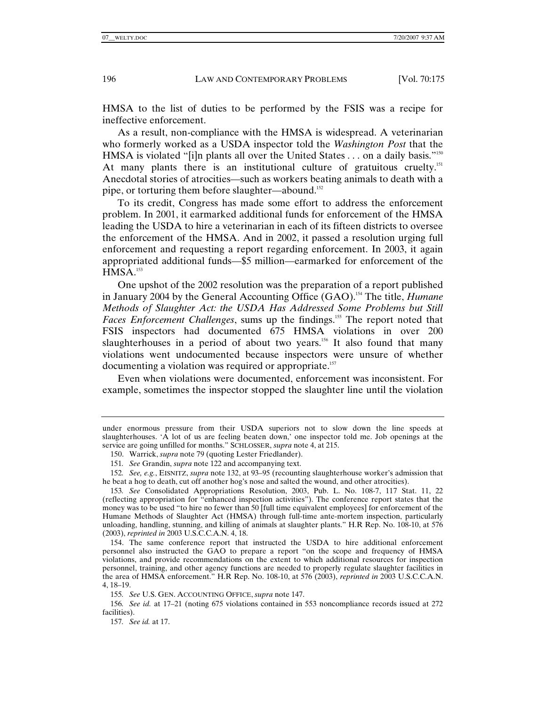HMSA to the list of duties to be performed by the FSIS was a recipe for ineffective enforcement.

As a result, non-compliance with the HMSA is widespread. A veterinarian who formerly worked as a USDA inspector told the *Washington Post* that the HMSA is violated "[i]n plants all over the United States . . . on a daily basis."<sup>150</sup> At many plants there is an institutional culture of gratuitous cruelty.151 Anecdotal stories of atrocities—such as workers beating animals to death with a pipe, or torturing them before slaughter—abound.<sup>152</sup>

To its credit, Congress has made some effort to address the enforcement problem. In 2001, it earmarked additional funds for enforcement of the HMSA leading the USDA to hire a veterinarian in each of its fifteen districts to oversee the enforcement of the HMSA. And in 2002, it passed a resolution urging full enforcement and requesting a report regarding enforcement. In 2003, it again appropriated additional funds—\$5 million—earmarked for enforcement of the  $HMSA.<sup>153</sup>$ 

One upshot of the 2002 resolution was the preparation of a report published in January 2004 by the General Accounting Office (GAO).154 The title, *Humane Methods of Slaughter Act: the USDA Has Addressed Some Problems but Still*  Faces Enforcement Challenges, sums up the findings.<sup>155</sup> The report noted that FSIS inspectors had documented 675 HMSA violations in over 200 slaughterhouses in a period of about two years.<sup>156</sup> It also found that many violations went undocumented because inspectors were unsure of whether documenting a violation was required or appropriate.<sup>157</sup>

Even when violations were documented, enforcement was inconsistent. For example, sometimes the inspector stopped the slaughter line until the violation

under enormous pressure from their USDA superiors not to slow down the line speeds at slaughterhouses. 'A lot of us are feeling beaten down,' one inspector told me. Job openings at the service are going unfilled for months." SCHLOSSER, *supra* note 4, at 215.

 <sup>150.</sup> Warrick, *supra* note 79 (quoting Lester Friedlander).

<sup>151</sup>*. See* Grandin, *supra* note 122 and accompanying text.

<sup>152</sup>*. See, e.g.*, EISNITZ, *supra* note 132, at 93–95 (recounting slaughterhouse worker's admission that he beat a hog to death, cut off another hog's nose and salted the wound, and other atrocities).

<sup>153</sup>*. See* Consolidated Appropriations Resolution, 2003, Pub. L. No. 108-7, 117 Stat. 11, 22 (reflecting appropriation for "enhanced inspection activities"). The conference report states that the money was to be used "to hire no fewer than 50 [full time equivalent employees] for enforcement of the Humane Methods of Slaughter Act (HMSA) through full-time ante-mortem inspection, particularly unloading, handling, stunning, and killing of animals at slaughter plants." H.R Rep. No. 108-10, at 576 (2003), *reprinted in* 2003 U.S.C.C.A.N. 4, 18.

 <sup>154.</sup> The same conference report that instructed the USDA to hire additional enforcement personnel also instructed the GAO to prepare a report "on the scope and frequency of HMSA violations, and provide recommendations on the extent to which additional resources for inspection personnel, training, and other agency functions are needed to properly regulate slaughter facilities in the area of HMSA enforcement." H.R Rep. No. 108-10, at 576 (2003), *reprinted in* 2003 U.S.C.C.A.N. 4, 18–19.

<sup>155</sup>*. See* U.S. GEN. ACCOUNTING OFFICE, *supra* note 147.

<sup>156</sup>*. See id.* at 17–21 (noting 675 violations contained in 553 noncompliance records issued at 272 facilities).

<sup>157</sup>*. See id.* at 17.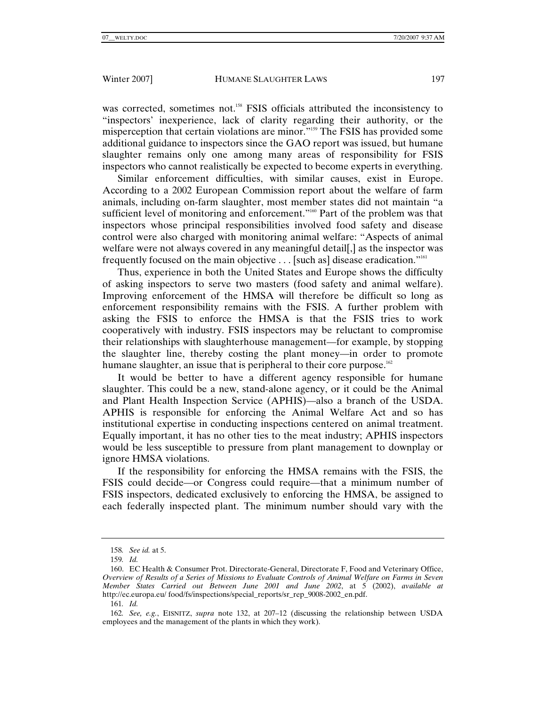was corrected, sometimes not.<sup>158</sup> FSIS officials attributed the inconsistency to "inspectors' inexperience, lack of clarity regarding their authority, or the misperception that certain violations are minor."159 The FSIS has provided some additional guidance to inspectors since the GAO report was issued, but humane slaughter remains only one among many areas of responsibility for FSIS inspectors who cannot realistically be expected to become experts in everything.

Similar enforcement difficulties, with similar causes, exist in Europe. According to a 2002 European Commission report about the welfare of farm animals, including on-farm slaughter, most member states did not maintain "a sufficient level of monitoring and enforcement."<sup>160</sup> Part of the problem was that inspectors whose principal responsibilities involved food safety and disease control were also charged with monitoring animal welfare: "Aspects of animal welfare were not always covered in any meaningful detail. as the inspector was frequently focused on the main objective . . . [such as] disease eradication."161

Thus, experience in both the United States and Europe shows the difficulty of asking inspectors to serve two masters (food safety and animal welfare). Improving enforcement of the HMSA will therefore be difficult so long as enforcement responsibility remains with the FSIS. A further problem with asking the FSIS to enforce the HMSA is that the FSIS tries to work cooperatively with industry. FSIS inspectors may be reluctant to compromise their relationships with slaughterhouse management—for example, by stopping the slaughter line, thereby costing the plant money—in order to promote humane slaughter, an issue that is peripheral to their core purpose.<sup>162</sup>

It would be better to have a different agency responsible for humane slaughter. This could be a new, stand-alone agency, or it could be the Animal and Plant Health Inspection Service (APHIS)—also a branch of the USDA. APHIS is responsible for enforcing the Animal Welfare Act and so has institutional expertise in conducting inspections centered on animal treatment. Equally important, it has no other ties to the meat industry; APHIS inspectors would be less susceptible to pressure from plant management to downplay or ignore HMSA violations.

If the responsibility for enforcing the HMSA remains with the FSIS, the FSIS could decide—or Congress could require—that a minimum number of FSIS inspectors, dedicated exclusively to enforcing the HMSA, be assigned to each federally inspected plant. The minimum number should vary with the

<sup>158</sup>*. See id.* at 5.

<sup>159</sup>*. Id.*

 <sup>160.</sup> EC Health & Consumer Prot. Directorate-General, Directorate F, Food and Veterinary Office, *Overview of Results of a Series of Missions to Evaluate Controls of Animal Welfare on Farms in Seven Member States Carried out Between June 2001 and June 2002*, at 5 (2002), *available at* http://ec.europa.eu/ food/fs/inspections/special\_reports/sr\_rep\_9008-2002\_en.pdf.

<sup>161</sup>*. Id.*

<sup>162</sup>*. See, e.g.*, EISNITZ, *supra* note 132, at 207–12 (discussing the relationship between USDA employees and the management of the plants in which they work).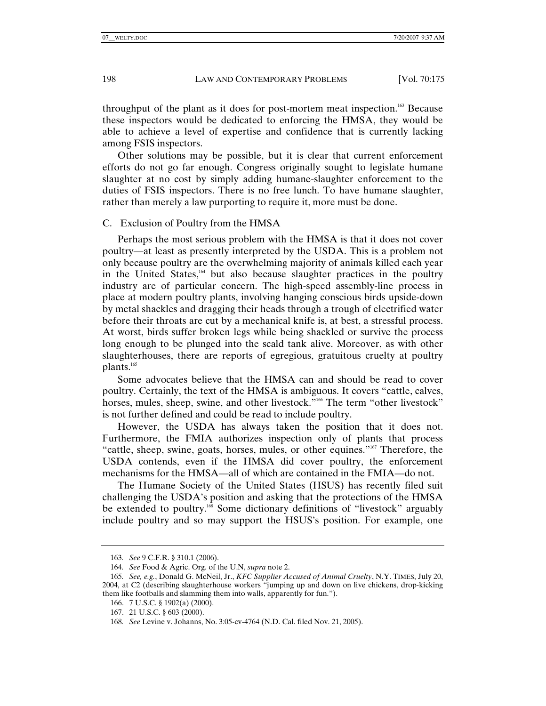throughput of the plant as it does for post-mortem meat inspection.<sup>163</sup> Because these inspectors would be dedicated to enforcing the HMSA, they would be able to achieve a level of expertise and confidence that is currently lacking among FSIS inspectors.

Other solutions may be possible, but it is clear that current enforcement efforts do not go far enough. Congress originally sought to legislate humane slaughter at no cost by simply adding humane-slaughter enforcement to the duties of FSIS inspectors. There is no free lunch. To have humane slaughter, rather than merely a law purporting to require it, more must be done.

#### C. Exclusion of Poultry from the HMSA

Perhaps the most serious problem with the HMSA is that it does not cover poultry—at least as presently interpreted by the USDA. This is a problem not only because poultry are the overwhelming majority of animals killed each year in the United States,164 but also because slaughter practices in the poultry industry are of particular concern. The high-speed assembly-line process in place at modern poultry plants, involving hanging conscious birds upside-down by metal shackles and dragging their heads through a trough of electrified water before their throats are cut by a mechanical knife is, at best, a stressful process. At worst, birds suffer broken legs while being shackled or survive the process long enough to be plunged into the scald tank alive. Moreover, as with other slaughterhouses, there are reports of egregious, gratuitous cruelty at poultry plants.<sup>165</sup>

Some advocates believe that the HMSA can and should be read to cover poultry. Certainly, the text of the HMSA is ambiguous. It covers "cattle, calves, horses, mules, sheep, swine, and other livestock."<sup>166</sup> The term "other livestock" is not further defined and could be read to include poultry.

However, the USDA has always taken the position that it does not. Furthermore, the FMIA authorizes inspection only of plants that process "cattle, sheep, swine, goats, horses, mules, or other equines."167 Therefore, the USDA contends, even if the HMSA did cover poultry, the enforcement mechanisms for the HMSA—all of which are contained in the FMIA—do not.

The Humane Society of the United States (HSUS) has recently filed suit challenging the USDA's position and asking that the protections of the HMSA be extended to poultry.<sup>168</sup> Some dictionary definitions of "livestock" arguably include poultry and so may support the HSUS's position. For example, one

<sup>163</sup>*. See* 9 C.F.R. § 310.1 (2006).

<sup>164</sup>*. See* Food & Agric. Org. of the U.N, *supra* note 2.

<sup>165</sup>*. See, e.g.*, Donald G. McNeil, Jr., *KFC Supplier Accused of Animal Cruelty*, N.Y. TIMES, July 20, 2004, at C2 (describing slaughterhouse workers "jumping up and down on live chickens, drop-kicking them like footballs and slamming them into walls, apparently for fun.").

 <sup>166. 7</sup> U.S.C. § 1902(a) (2000).

 <sup>167. 21</sup> U.S.C. § 603 (2000).

<sup>168</sup>*. See* Levine v. Johanns, No. 3:05-cv-4764 (N.D. Cal. filed Nov. 21, 2005).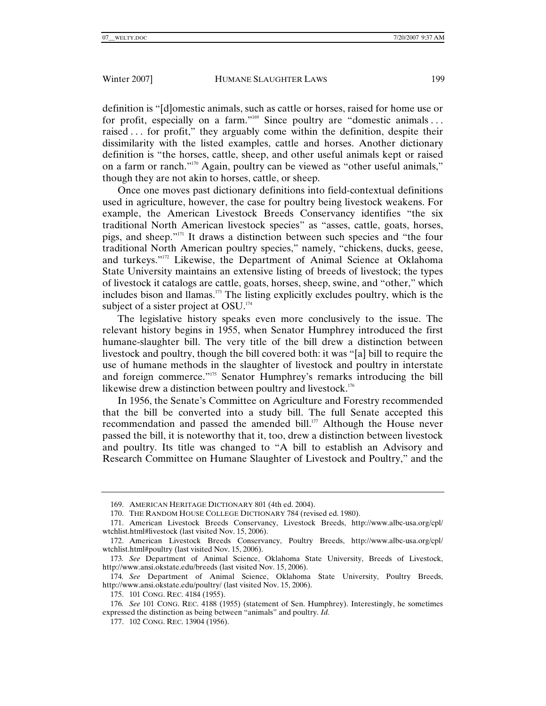definition is "[d]omestic animals, such as cattle or horses, raised for home use or for profit, especially on a farm."<sup>169</sup> Since poultry are "domestic animals ... raised . . . for profit," they arguably come within the definition, despite their dissimilarity with the listed examples, cattle and horses. Another dictionary definition is "the horses, cattle, sheep, and other useful animals kept or raised on a farm or ranch."170 Again, poultry can be viewed as "other useful animals," though they are not akin to horses, cattle, or sheep.

Once one moves past dictionary definitions into field-contextual definitions used in agriculture, however, the case for poultry being livestock weakens. For example, the American Livestock Breeds Conservancy identifies "the six traditional North American livestock species" as "asses, cattle, goats, horses, pigs, and sheep."171 It draws a distinction between such species and "the four traditional North American poultry species," namely, "chickens, ducks, geese, and turkeys."172 Likewise, the Department of Animal Science at Oklahoma State University maintains an extensive listing of breeds of livestock; the types of livestock it catalogs are cattle, goats, horses, sheep, swine, and "other," which includes bison and llamas.<sup>173</sup> The listing explicitly excludes poultry, which is the subject of a sister project at OSU.<sup>174</sup>

The legislative history speaks even more conclusively to the issue. The relevant history begins in 1955, when Senator Humphrey introduced the first humane-slaughter bill. The very title of the bill drew a distinction between livestock and poultry, though the bill covered both: it was "[a] bill to require the use of humane methods in the slaughter of livestock and poultry in interstate and foreign commerce."175 Senator Humphrey's remarks introducing the bill likewise drew a distinction between poultry and livestock.<sup>176</sup>

In 1956, the Senate's Committee on Agriculture and Forestry recommended that the bill be converted into a study bill. The full Senate accepted this recommendation and passed the amended bill. $177$  Although the House never passed the bill, it is noteworthy that it, too, drew a distinction between livestock and poultry. Its title was changed to "A bill to establish an Advisory and Research Committee on Humane Slaughter of Livestock and Poultry," and the

 <sup>169.</sup> AMERICAN HERITAGE DICTIONARY 801 (4th ed. 2004).

 <sup>170.</sup> THE RANDOM HOUSE COLLEGE DICTIONARY 784 (revised ed. 1980).

 <sup>171.</sup> American Livestock Breeds Conservancy, Livestock Breeds, http://www.albc-usa.org/cpl/ wtchlist.html#livestock (last visited Nov. 15, 2006).

 <sup>172.</sup> American Livestock Breeds Conservancy, Poultry Breeds, http://www.albc-usa.org/cpl/ wtchlist.html#poultry (last visited Nov. 15, 2006).

<sup>173</sup>*. See* Department of Animal Science, Oklahoma State University, Breeds of Livestock, http://www.ansi.okstate.edu/breeds (last visited Nov. 15, 2006).

<sup>174</sup>*. See* Department of Animal Science, Oklahoma State University, Poultry Breeds, http://www.ansi.okstate.edu/poultry/ (last visited Nov. 15, 2006).

 <sup>175. 101</sup> CONG. REC. 4184 (1955).

<sup>176</sup>*. See* 101 CONG. REC. 4188 (1955) (statement of Sen. Humphrey). Interestingly, he sometimes expressed the distinction as being between "animals" and poultry. *Id.* 

 <sup>177. 102</sup> CONG. REC. 13904 (1956).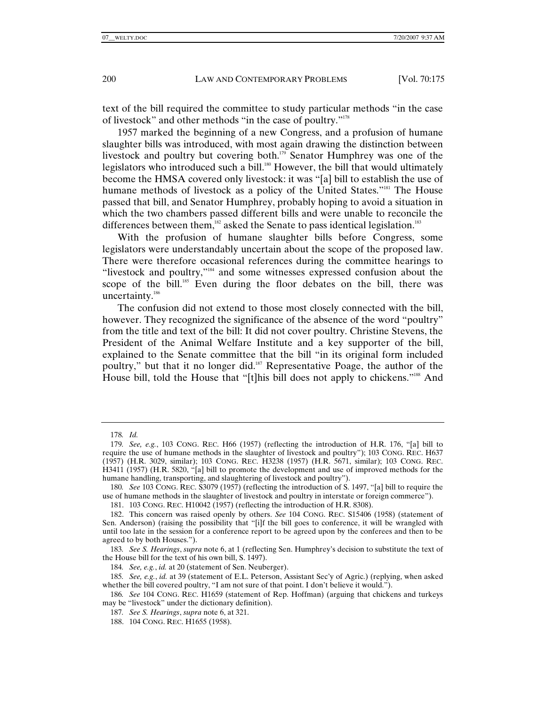text of the bill required the committee to study particular methods "in the case of livestock" and other methods "in the case of poultry."178

1957 marked the beginning of a new Congress, and a profusion of humane slaughter bills was introduced, with most again drawing the distinction between livestock and poultry but covering both.<sup>179</sup> Senator Humphrey was one of the legislators who introduced such a bill.<sup>180</sup> However, the bill that would ultimately become the HMSA covered only livestock: it was "[a] bill to establish the use of humane methods of livestock as a policy of the United States."<sup>181</sup> The House passed that bill, and Senator Humphrey, probably hoping to avoid a situation in which the two chambers passed different bills and were unable to reconcile the differences between them, $182$  asked the Senate to pass identical legislation.<sup>183</sup>

With the profusion of humane slaughter bills before Congress, some legislators were understandably uncertain about the scope of the proposed law. There were therefore occasional references during the committee hearings to "livestock and poultry,"<sup>184</sup> and some witnesses expressed confusion about the scope of the bill.<sup>185</sup> Even during the floor debates on the bill, there was uncertainty.<sup>186</sup>

The confusion did not extend to those most closely connected with the bill, however. They recognized the significance of the absence of the word "poultry" from the title and text of the bill: It did not cover poultry. Christine Stevens, the President of the Animal Welfare Institute and a key supporter of the bill, explained to the Senate committee that the bill "in its original form included poultry," but that it no longer did.<sup>187</sup> Representative Poage, the author of the House bill, told the House that "[t]his bill does not apply to chickens."<sup>188</sup> And

181. 103 CONG. REC. H10042 (1957) (reflecting the introduction of H.R. 8308).

<sup>178</sup>*. Id.*

<sup>179</sup>*. See, e.g.*, 103 CONG. REC. H66 (1957) (reflecting the introduction of H.R. 176, "[a] bill to require the use of humane methods in the slaughter of livestock and poultry"); 103 CONG. REC. H637 (1957) (H.R. 3029, similar); 103 CONG. REC. H3238 (1957) (H.R. 5671, similar); 103 CONG. REC. H3411 (1957) (H.R. 5820, "[a] bill to promote the development and use of improved methods for the humane handling, transporting, and slaughtering of livestock and poultry").

<sup>180</sup>*. See* 103 CONG. REC. S3079 (1957) (reflecting the introduction of S. 1497, "[a] bill to require the use of humane methods in the slaughter of livestock and poultry in interstate or foreign commerce").

 <sup>182.</sup> This concern was raised openly by others. *See* 104 CONG. REC. S15406 (1958) (statement of Sen. Anderson) (raising the possibility that "[i]f the bill goes to conference, it will be wrangled with until too late in the session for a conference report to be agreed upon by the conferees and then to be agreed to by both Houses.").

<sup>183</sup>*. See S. Hearings*, *supra* note 6, at 1 (reflecting Sen. Humphrey's decision to substitute the text of the House bill for the text of his own bill, S. 1497).

<sup>184</sup>*. See, e.g.*, *id.* at 20 (statement of Sen. Neuberger).

<sup>185</sup>*. See, e.g.*, *id.* at 39 (statement of E.L. Peterson, Assistant Sec'y of Agric.) (replying, when asked whether the bill covered poultry, "I am not sure of that point. I don't believe it would.").

<sup>186</sup>*. See* 104 CONG. REC. H1659 (statement of Rep. Hoffman) (arguing that chickens and turkeys may be "livestock" under the dictionary definition).

<sup>187</sup>*. See S. Hearings*, *supra* note 6, at 321.

 <sup>188. 104</sup> CONG. REC. H1655 (1958).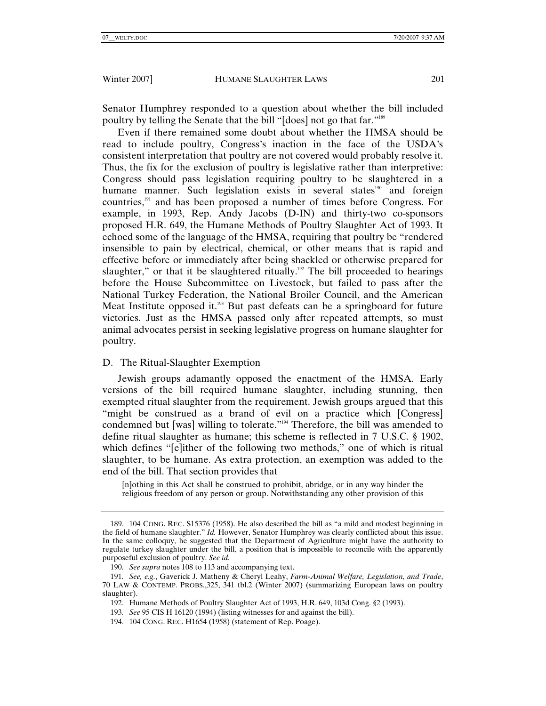Senator Humphrey responded to a question about whether the bill included poultry by telling the Senate that the bill "[does] not go that far."189

Even if there remained some doubt about whether the HMSA should be read to include poultry, Congress's inaction in the face of the USDA's consistent interpretation that poultry are not covered would probably resolve it. Thus, the fix for the exclusion of poultry is legislative rather than interpretive: Congress should pass legislation requiring poultry to be slaughtered in a humane manner. Such legislation exists in several states<sup>190</sup> and foreign countries,191 and has been proposed a number of times before Congress. For example, in 1993, Rep. Andy Jacobs (D-IN) and thirty-two co-sponsors proposed H.R. 649, the Humane Methods of Poultry Slaughter Act of 1993. It echoed some of the language of the HMSA, requiring that poultry be "rendered insensible to pain by electrical, chemical, or other means that is rapid and effective before or immediately after being shackled or otherwise prepared for slaughter," or that it be slaughtered ritually.<sup>192</sup> The bill proceeded to hearings before the House Subcommittee on Livestock, but failed to pass after the National Turkey Federation, the National Broiler Council, and the American Meat Institute opposed it.<sup>193</sup> But past defeats can be a springboard for future victories. Just as the HMSA passed only after repeated attempts, so must animal advocates persist in seeking legislative progress on humane slaughter for poultry.

# D. The Ritual-Slaughter Exemption

Jewish groups adamantly opposed the enactment of the HMSA. Early versions of the bill required humane slaughter, including stunning, then exempted ritual slaughter from the requirement. Jewish groups argued that this "might be construed as a brand of evil on a practice which [Congress] condemned but [was] willing to tolerate."194 Therefore, the bill was amended to define ritual slaughter as humane; this scheme is reflected in 7 U.S.C. § 1902, which defines "[e]ither of the following two methods," one of which is ritual slaughter, to be humane. As extra protection, an exemption was added to the end of the bill. That section provides that

[n]othing in this Act shall be construed to prohibit, abridge, or in any way hinder the religious freedom of any person or group. Notwithstanding any other provision of this

 <sup>189. 104</sup> CONG. REC. S15376 (1958). He also described the bill as "a mild and modest beginning in the field of humane slaughter." *Id.* However, Senator Humphrey was clearly conflicted about this issue. In the same colloquy, he suggested that the Department of Agriculture might have the authority to regulate turkey slaughter under the bill, a position that is impossible to reconcile with the apparently purposeful exclusion of poultry. *See id.*

<sup>190</sup>*. See supra* notes 108 to 113 and accompanying text.

<sup>191</sup>*. See, e.g.*, Gaverick J. Matheny & Cheryl Leahy, *Farm-Animal Welfare, Legislation, and Trade*, 70 LAW & CONTEMP. PROBS.,325, 341 tbl.2 (Winter 2007) (summarizing European laws on poultry slaughter).

 <sup>192.</sup> Humane Methods of Poultry Slaughter Act of 1993, H.R. 649, 103d Cong. §2 (1993).

<sup>193</sup>*. See* 95 CIS H 16120 (1994) (listing witnesses for and against the bill).

 <sup>194. 104</sup> CONG. REC. H1654 (1958) (statement of Rep. Poage).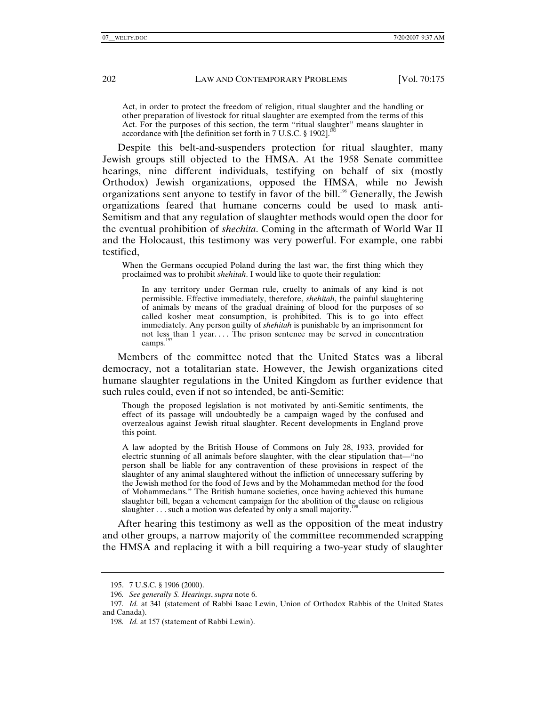Act, in order to protect the freedom of religion, ritual slaughter and the handling or other preparation of livestock for ritual slaughter are exempted from the terms of this Act. For the purposes of this section, the term "ritual slaughter" means slaughter in accordance with  $\int$ the definition set forth in 7 U.S.C. § 1902].<sup>1</sup>

Despite this belt-and-suspenders protection for ritual slaughter, many Jewish groups still objected to the HMSA. At the 1958 Senate committee hearings, nine different individuals, testifying on behalf of six (mostly Orthodox) Jewish organizations, opposed the HMSA, while no Jewish organizations sent anyone to testify in favor of the bill.<sup>196</sup> Generally, the Jewish organizations feared that humane concerns could be used to mask anti-Semitism and that any regulation of slaughter methods would open the door for the eventual prohibition of *shechita*. Coming in the aftermath of World War II and the Holocaust, this testimony was very powerful. For example, one rabbi testified,

When the Germans occupied Poland during the last war, the first thing which they proclaimed was to prohibit *shehitah*. I would like to quote their regulation:

In any territory under German rule, cruelty to animals of any kind is not permissible. Effective immediately, therefore, *shehitah*, the painful slaughtering of animals by means of the gradual draining of blood for the purposes of so called kosher meat consumption, is prohibited. This is to go into effect immediately. Any person guilty of *shehitah* is punishable by an imprisonment for not less than 1 year.... The prison sentence may be served in concentration camps*.* 197

Members of the committee noted that the United States was a liberal democracy, not a totalitarian state. However, the Jewish organizations cited humane slaughter regulations in the United Kingdom as further evidence that such rules could, even if not so intended, be anti-Semitic:

Though the proposed legislation is not motivated by anti-Semitic sentiments, the effect of its passage will undoubtedly be a campaign waged by the confused and overzealous against Jewish ritual slaughter. Recent developments in England prove this point.

A law adopted by the British House of Commons on July 28, 1933, provided for electric stunning of all animals before slaughter, with the clear stipulation that—"no person shall be liable for any contravention of these provisions in respect of the slaughter of any animal slaughtered without the infliction of unnecessary suffering by the Jewish method for the food of Jews and by the Mohammedan method for the food of Mohammedans*.*" The British humane societies, once having achieved this humane slaughter bill, began a vehement campaign for the abolition of the clause on religious slaughter  $\ldots$  such a motion was defeated by only a small majority.<sup>19</sup>

After hearing this testimony as well as the opposition of the meat industry and other groups, a narrow majority of the committee recommended scrapping the HMSA and replacing it with a bill requiring a two-year study of slaughter

 <sup>195. 7</sup> U.S.C. § 1906 (2000).

<sup>196</sup>*. See generally S. Hearings*, *supra* note 6.

<sup>197</sup>*. Id.* at 341 (statement of Rabbi Isaac Lewin, Union of Orthodox Rabbis of the United States and Canada).

<sup>198</sup>*. Id.* at 157 (statement of Rabbi Lewin).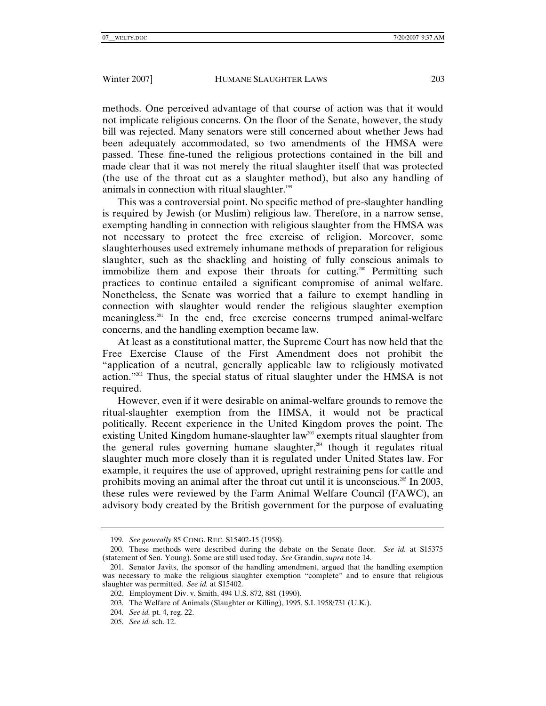methods. One perceived advantage of that course of action was that it would not implicate religious concerns. On the floor of the Senate, however, the study bill was rejected. Many senators were still concerned about whether Jews had been adequately accommodated, so two amendments of the HMSA were passed. These fine-tuned the religious protections contained in the bill and made clear that it was not merely the ritual slaughter itself that was protected (the use of the throat cut as a slaughter method), but also any handling of animals in connection with ritual slaughter.<sup>199</sup>

This was a controversial point. No specific method of pre-slaughter handling is required by Jewish (or Muslim) religious law. Therefore, in a narrow sense, exempting handling in connection with religious slaughter from the HMSA was not necessary to protect the free exercise of religion. Moreover, some slaughterhouses used extremely inhumane methods of preparation for religious slaughter, such as the shackling and hoisting of fully conscious animals to immobilize them and expose their throats for cutting.<sup>200</sup> Permitting such practices to continue entailed a significant compromise of animal welfare. Nonetheless, the Senate was worried that a failure to exempt handling in connection with slaughter would render the religious slaughter exemption meaningless.201 In the end, free exercise concerns trumped animal-welfare concerns, and the handling exemption became law.

At least as a constitutional matter, the Supreme Court has now held that the Free Exercise Clause of the First Amendment does not prohibit the "application of a neutral, generally applicable law to religiously motivated action."202 Thus, the special status of ritual slaughter under the HMSA is not required.

However, even if it were desirable on animal-welfare grounds to remove the ritual-slaughter exemption from the HMSA, it would not be practical politically. Recent experience in the United Kingdom proves the point. The existing United Kingdom humane-slaughter law<sup>203</sup> exempts ritual slaughter from the general rules governing humane slaughter,<sup>204</sup> though it regulates ritual slaughter much more closely than it is regulated under United States law. For example, it requires the use of approved, upright restraining pens for cattle and prohibits moving an animal after the throat cut until it is unconscious.<sup>205</sup> In 2003, these rules were reviewed by the Farm Animal Welfare Council (FAWC), an advisory body created by the British government for the purpose of evaluating

<sup>199</sup>*. See generally* 85 CONG. REC. S15402-15 (1958).

 <sup>200.</sup> These methods were described during the debate on the Senate floor. *See id.* at S15375 (statement of Sen. Young). Some are still used today. *See* Grandin, *supra* note 14.

 <sup>201.</sup> Senator Javits, the sponsor of the handling amendment, argued that the handling exemption was necessary to make the religious slaughter exemption "complete" and to ensure that religious slaughter was permitted. *See id.* at S15402.

 <sup>202.</sup> Employment Div. v. Smith, 494 U.S. 872, 881 (1990).

 <sup>203.</sup> The Welfare of Animals (Slaughter or Killing), 1995, S.I. 1958/731 (U.K.).

<sup>204</sup>*. See id.* pt. 4, reg. 22.

<sup>205</sup>*. See id.* sch. 12.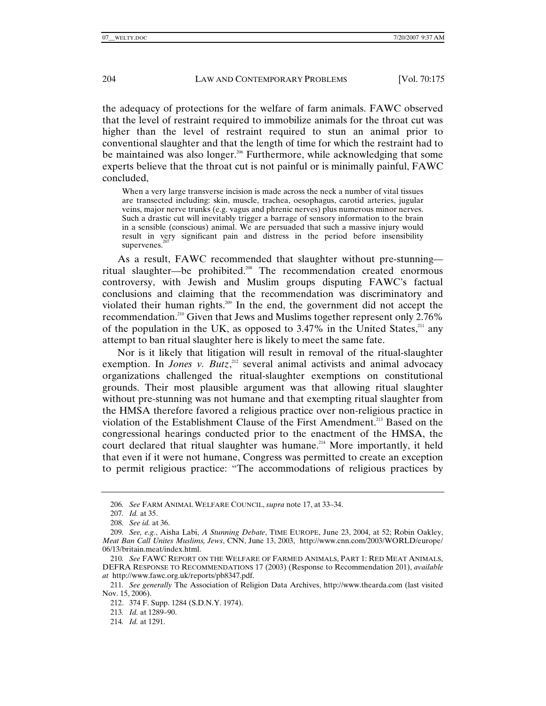the adequacy of protections for the welfare of farm animals. FAWC observed that the level of restraint required to immobilize animals for the throat cut was higher than the level of restraint required to stun an animal prior to conventional slaughter and that the length of time for which the restraint had to be maintained was also longer.<sup>206</sup> Furthermore, while acknowledging that some experts believe that the throat cut is not painful or is minimally painful, FAWC concluded,

When a very large transverse incision is made across the neck a number of vital tissues are transected including: skin, muscle, trachea, oesophagus, carotid arteries, jugular veins, major nerve trunks (e.g. vagus and phrenic nerves) plus numerous minor nerves. Such a drastic cut will inevitably trigger a barrage of sensory information to the brain in a sensible (conscious) animal. We are persuaded that such a massive injury would result in very significant pain and distress in the period before insensibility supervenes.<sup>2</sup>

As a result, FAWC recommended that slaughter without pre-stunning ritual slaughter—be prohibited.<sup>208</sup> The recommendation created enormous controversy, with Jewish and Muslim groups disputing FAWC's factual conclusions and claiming that the recommendation was discriminatory and violated their human rights.<sup>209</sup> In the end, the government did not accept the recommendation.210 Given that Jews and Muslims together represent only 2.76% of the population in the UK, as opposed to  $3.47\%$  in the United States,<sup>211</sup> any attempt to ban ritual slaughter here is likely to meet the same fate.

Nor is it likely that litigation will result in removal of the ritual-slaughter exemption. In *Jones v. Butz*,<sup>212</sup> several animal activists and animal advocacy organizations challenged the ritual-slaughter exemptions on constitutional grounds. Their most plausible argument was that allowing ritual slaughter without pre-stunning was not humane and that exempting ritual slaughter from the HMSA therefore favored a religious practice over non-religious practice in violation of the Establishment Clause of the First Amendment.<sup>213</sup> Based on the congressional hearings conducted prior to the enactment of the HMSA, the court declared that ritual slaughter was humane.<sup>214</sup> More importantly, it held that even if it were not humane, Congress was permitted to create an exception to permit religious practice: "The accommodations of religious practices by

<sup>206</sup>*. See* FARM ANIMAL WELFARE COUNCIL, *supra* note 17, at 33–34.

<sup>207</sup>*. Id.* at 35.

<sup>208</sup>*. See id.* at 36.

<sup>209</sup>*. See, e.g.*, Aisha Labi, *A Stunning Debate*, TIME EUROPE, June 23, 2004, at 52; Robin Oakley, *Meat Ban Call Unites Muslims, Jews*, CNN, June 13, 2003, http://www.cnn.com/2003/WORLD/europe/ 06/13/britain.meat/index.html.

<sup>210</sup>*. See* FAWC REPORT ON THE WELFARE OF FARMED ANIMALS, PART 1: RED MEAT ANIMALS, DEFRA RESPONSE TO RECOMMENDATIONS 17 (2003) (Response to Recommendation 201), *available at* http://www.fawc.org.uk/reports/pb8347.pdf.

<sup>211</sup>*. See generally* The Association of Religion Data Archives, http://www.thearda.com (last visited Nov. 15, 2006).

 <sup>212. 374</sup> F. Supp. 1284 (S.D.N.Y. 1974).

<sup>213</sup>*. Id.* at 1289–90.

<sup>214</sup>*. Id.* at 1291.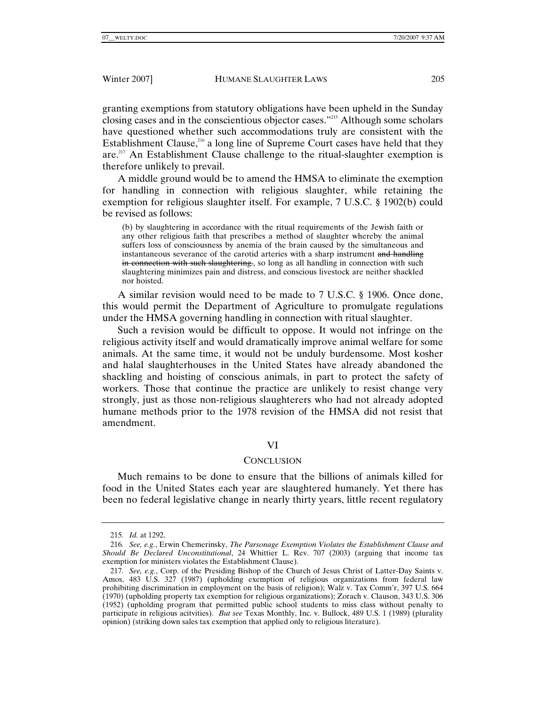granting exemptions from statutory obligations have been upheld in the Sunday closing cases and in the conscientious objector cases."215 Although some scholars have questioned whether such accommodations truly are consistent with the Establishment Clause,  $216$  a long line of Supreme Court cases have held that they are.<sup>217</sup> An Establishment Clause challenge to the ritual-slaughter exemption is therefore unlikely to prevail.

A middle ground would be to amend the HMSA to eliminate the exemption for handling in connection with religious slaughter, while retaining the exemption for religious slaughter itself. For example, 7 U.S.C. § 1902(b) could be revised as follows:

(b) by slaughtering in accordance with the ritual requirements of the Jewish faith or any other religious faith that prescribes a method of slaughter whereby the animal suffers loss of consciousness by anemia of the brain caused by the simultaneous and instantaneous severance of the carotid arteries with a sharp instrument and handling in connection with such slaughtering, so long as all handling in connection with such slaughtering minimizes pain and distress, and conscious livestock are neither shackled nor hoisted.

A similar revision would need to be made to 7 U.S.C. § 1906. Once done, this would permit the Department of Agriculture to promulgate regulations under the HMSA governing handling in connection with ritual slaughter.

Such a revision would be difficult to oppose. It would not infringe on the religious activity itself and would dramatically improve animal welfare for some animals. At the same time, it would not be unduly burdensome. Most kosher and halal slaughterhouses in the United States have already abandoned the shackling and hoisting of conscious animals, in part to protect the safety of workers. Those that continue the practice are unlikely to resist change very strongly, just as those non-religious slaughterers who had not already adopted humane methods prior to the 1978 revision of the HMSA did not resist that amendment.

## VI

## **CONCLUSION**

Much remains to be done to ensure that the billions of animals killed for food in the United States each year are slaughtered humanely. Yet there has been no federal legislative change in nearly thirty years, little recent regulatory

<sup>215</sup>*. Id.* at 1292.

<sup>216</sup>*. See, e.g.*, Erwin Chemerinsky, *The Parsonage Exemption Violates the Establishment Clause and Should Be Declared Unconstitutional*, 24 Whittier L. Rev. 707 (2003) (arguing that income tax exemption for ministers violates the Establishment Clause).

<sup>217</sup>*. See, e.g.*, Corp. of the Presiding Bishop of the Church of Jesus Christ of Latter-Day Saints v. Amos, 483 U.S. 327 (1987) (upholding exemption of religious organizations from federal law prohibiting discrimination in employment on the basis of religion); Walz v. Tax Comm'r, 397 U.S. 664 (1970) (upholding property tax exemption for religious organizations); Zorach v. Clauson, 343 U.S. 306 (1952) (upholding program that permitted public school students to miss class without penalty to participate in religious acitvities). *But see* Texas Monthly, Inc. v. Bullock, 489 U.S. 1 (1989) (plurality opinion) (striking down sales tax exemption that applied only to religious literature).